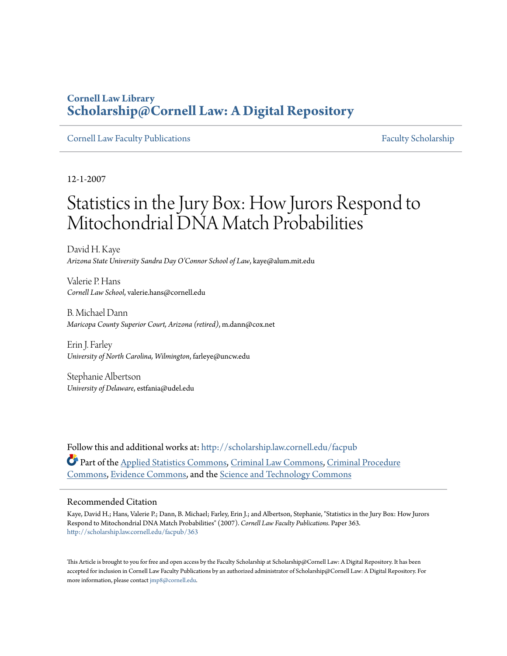## **Cornell Law Library [Scholarship@Cornell Law: A Digital Repository](http://scholarship.law.cornell.edu?utm_source=scholarship.law.cornell.edu%2Ffacpub%2F363&utm_medium=PDF&utm_campaign=PDFCoverPages)**

[Cornell Law Faculty Publications](http://scholarship.law.cornell.edu/facpub?utm_source=scholarship.law.cornell.edu%2Ffacpub%2F363&utm_medium=PDF&utm_campaign=PDFCoverPages) [Faculty Scholarship](http://scholarship.law.cornell.edu/facsch?utm_source=scholarship.law.cornell.edu%2Ffacpub%2F363&utm_medium=PDF&utm_campaign=PDFCoverPages)

12-1-2007

# Statistics in the Jury Box: How Jurors Respond to Mitochondrial DNA Match Probabilities

David H. Kaye *Arizona State University Sandra Day O'Connor School of Law*, kaye@alum.mit.edu

Valerie P. Hans *Cornell Law School*, valerie.hans@cornell.edu

B. Michael Dann *Maricopa County Superior Court, Arizona (retired)*, m.dann@cox.net

Erin J. Farley *University of North Carolina, Wilmington*, farleye@uncw.edu

Stephanie Albertson *University of Delaware*, estfania@udel.edu

Follow this and additional works at: [http://scholarship.law.cornell.edu/facpub](http://scholarship.law.cornell.edu/facpub?utm_source=scholarship.law.cornell.edu%2Ffacpub%2F363&utm_medium=PDF&utm_campaign=PDFCoverPages) Part of the [Applied Statistics Commons,](http://network.bepress.com/hgg/discipline/209?utm_source=scholarship.law.cornell.edu%2Ffacpub%2F363&utm_medium=PDF&utm_campaign=PDFCoverPages) [Criminal Law Commons](http://network.bepress.com/hgg/discipline/912?utm_source=scholarship.law.cornell.edu%2Ffacpub%2F363&utm_medium=PDF&utm_campaign=PDFCoverPages), [Criminal Procedure](http://network.bepress.com/hgg/discipline/1073?utm_source=scholarship.law.cornell.edu%2Ffacpub%2F363&utm_medium=PDF&utm_campaign=PDFCoverPages) [Commons,](http://network.bepress.com/hgg/discipline/1073?utm_source=scholarship.law.cornell.edu%2Ffacpub%2F363&utm_medium=PDF&utm_campaign=PDFCoverPages) [Evidence Commons,](http://network.bepress.com/hgg/discipline/601?utm_source=scholarship.law.cornell.edu%2Ffacpub%2F363&utm_medium=PDF&utm_campaign=PDFCoverPages) and the [Science and Technology Commons](http://network.bepress.com/hgg/discipline/875?utm_source=scholarship.law.cornell.edu%2Ffacpub%2F363&utm_medium=PDF&utm_campaign=PDFCoverPages)

#### Recommended Citation

Kaye, David H.; Hans, Valerie P.; Dann, B. Michael; Farley, Erin J.; and Albertson, Stephanie, "Statistics in the Jury Box: How Jurors Respond to Mitochondrial DNA Match Probabilities" (2007). *Cornell Law Faculty Publications.* Paper 363. [http://scholarship.law.cornell.edu/facpub/363](http://scholarship.law.cornell.edu/facpub/363?utm_source=scholarship.law.cornell.edu%2Ffacpub%2F363&utm_medium=PDF&utm_campaign=PDFCoverPages)

This Article is brought to you for free and open access by the Faculty Scholarship at Scholarship@Cornell Law: A Digital Repository. It has been accepted for inclusion in Cornell Law Faculty Publications by an authorized administrator of Scholarship@Cornell Law: A Digital Repository. For more information, please contact [jmp8@cornell.edu.](mailto:jmp8@cornell.edu)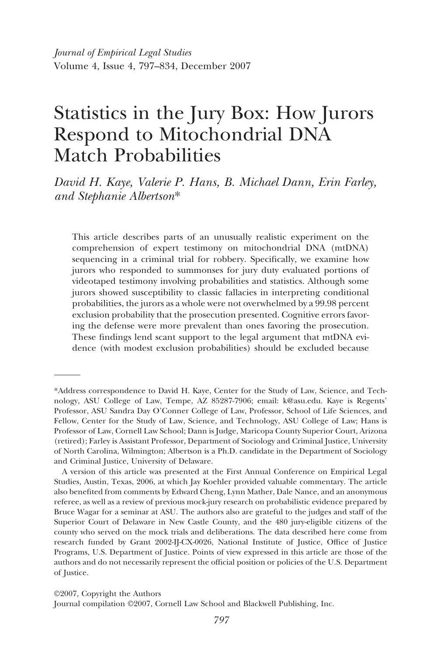## Statistics in the Jury Box: How Jurors Respond to Mitochondrial DNA Match Probabilities

*David H. Kaye, Valerie P. Hans, B. Michael Dann, Erin Farley, and Stephanie Albertson*\*

This article describes parts of an unusually realistic experiment on the comprehension of expert testimony on mitochondrial DNA (mtDNA) sequencing in a criminal trial for robbery. Specifically, we examine how jurors who responded to summonses for jury duty evaluated portions of videotaped testimony involving probabilities and statistics. Although some jurors showed susceptibility to classic fallacies in interpreting conditional probabilities, the jurors as a whole were not overwhelmed by a 99.98 percent exclusion probability that the prosecution presented. Cognitive errors favoring the defense were more prevalent than ones favoring the prosecution. These findings lend scant support to the legal argument that mtDNA evidence (with modest exclusion probabilities) should be excluded because

©2007, Copyright the Authors

Journal compilation ©2007, Cornell Law School and Blackwell Publishing, Inc.

<sup>\*</sup>Address correspondence to David H. Kaye, Center for the Study of Law, Science, and Technology, ASU College of Law, Tempe, AZ 85287-7906; email: [k@asu.edu.](mailto:k@asu.edu) Kaye is Regents' Professor, ASU Sandra Day O'Conner College of Law, Professor, School of Life Sciences, and Fellow, Center for the Study of Law, Science, and Technology, ASU College of Law; Hans is Professor of Law, Cornell Law School; Dann is Judge, Maricopa County Superior Court, Arizona (retired); Farley is Assistant Professor, Department of Sociology and Criminal Justice, University of North Carolina, Wilmington; Albertson is a Ph.D. candidate in the Department of Sociology and Criminal Justice, University of Delaware.

A version of this article was presented at the First Annual Conference on Empirical Legal Studies, Austin, Texas, 2006, at which Jay Koehler provided valuable commentary. The article also benefited from comments by Edward Cheng, Lynn Mather, Dale Nance, and an anonymous referee, as well as a review of previous mock-jury research on probabilistic evidence prepared by Bruce Wagar for a seminar at ASU. The authors also are grateful to the judges and staff of the Superior Court of Delaware in New Castle County, and the 480 jury-eligible citizens of the county who served on the mock trials and deliberations. The data described here come from research funded by Grant 2002-IJ-CX-0026, National Institute of Justice, Office of Justice Programs, U.S. Department of Justice. Points of view expressed in this article are those of the authors and do not necessarily represent the official position or policies of the U.S. Department of Justice.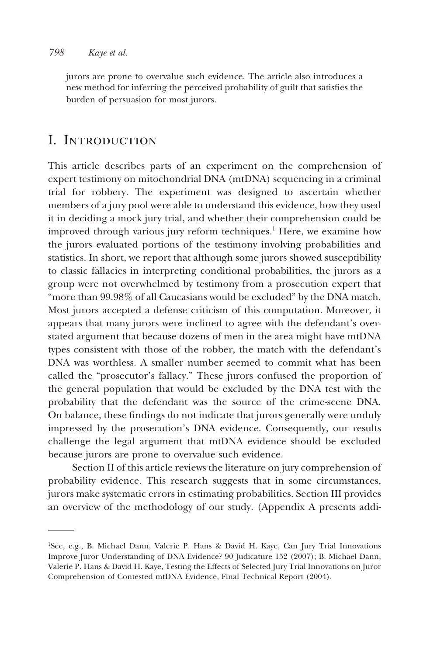#### *798 Kaye et al.*

jurors are prone to overvalue such evidence. The article also introduces a new method for inferring the perceived probability of guilt that satisfies the burden of persuasion for most jurors.

## I. Introduction

This article describes parts of an experiment on the comprehension of expert testimony on mitochondrial DNA (mtDNA) sequencing in a criminal trial for robbery. The experiment was designed to ascertain whether members of a jury pool were able to understand this evidence, how they used it in deciding a mock jury trial, and whether their comprehension could be improved through various jury reform techniques.<sup>1</sup> Here, we examine how the jurors evaluated portions of the testimony involving probabilities and statistics. In short, we report that although some jurors showed susceptibility to classic fallacies in interpreting conditional probabilities, the jurors as a group were not overwhelmed by testimony from a prosecution expert that "more than 99.98% of all Caucasians would be excluded" by the DNA match. Most jurors accepted a defense criticism of this computation. Moreover, it appears that many jurors were inclined to agree with the defendant's overstated argument that because dozens of men in the area might have mtDNA types consistent with those of the robber, the match with the defendant's DNA was worthless. A smaller number seemed to commit what has been called the "prosecutor's fallacy." These jurors confused the proportion of the general population that would be excluded by the DNA test with the probability that the defendant was the source of the crime-scene DNA. On balance, these findings do not indicate that jurors generally were unduly impressed by the prosecution's DNA evidence. Consequently, our results challenge the legal argument that mtDNA evidence should be excluded because jurors are prone to overvalue such evidence.

Section II of this article reviews the literature on jury comprehension of probability evidence. This research suggests that in some circumstances, jurors make systematic errors in estimating probabilities. Section III provides an overview of the methodology of our study. (Appendix A presents addi-

<sup>1</sup> See, e.g., B. Michael Dann, Valerie P. Hans & David H. Kaye, Can Jury Trial Innovations Improve Juror Understanding of DNA Evidence? 90 Judicature 152 (2007); B. Michael Dann, Valerie P. Hans & David H. Kaye, Testing the Effects of Selected Jury Trial Innovations on Juror Comprehension of Contested mtDNA Evidence, Final Technical Report (2004).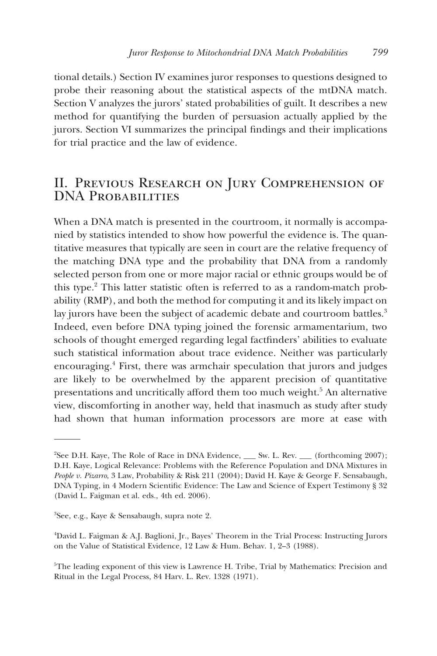tional details.) Section IV examines juror responses to questions designed to probe their reasoning about the statistical aspects of the mtDNA match. Section V analyzes the jurors' stated probabilities of guilt. It describes a new method for quantifying the burden of persuasion actually applied by the jurors. Section VI summarizes the principal findings and their implications for trial practice and the law of evidence.

## II. Previous Research on Jury Comprehension of DNA PROBABILITIES

When a DNA match is presented in the courtroom, it normally is accompanied by statistics intended to show how powerful the evidence is. The quantitative measures that typically are seen in court are the relative frequency of the matching DNA type and the probability that DNA from a randomly selected person from one or more major racial or ethnic groups would be of this type.<sup>2</sup> This latter statistic often is referred to as a random-match probability (RMP), and both the method for computing it and its likely impact on lay jurors have been the subject of academic debate and courtroom battles.<sup>3</sup> Indeed, even before DNA typing joined the forensic armamentarium, two schools of thought emerged regarding legal factfinders' abilities to evaluate such statistical information about trace evidence. Neither was particularly encouraging.4 First, there was armchair speculation that jurors and judges are likely to be overwhelmed by the apparent precision of quantitative presentations and uncritically afford them too much weight.<sup>5</sup> An alternative view, discomforting in another way, held that inasmuch as study after study had shown that human information processors are more at ease with

<sup>2</sup> See D.H. Kaye, The Role of Race in DNA Evidence, \_\_\_ Sw. L. Rev. \_\_\_ (forthcoming 2007); D.H. Kaye, Logical Relevance: Problems with the Reference Population and DNA Mixtures in *People v. Pizarro*, 3 Law, Probability & Risk 211 (2004); David H. Kaye & George F. Sensabaugh, DNA Typing, in 4 Modern Scientific Evidence: The Law and Science of Expert Testimony § 32 (David L. Faigman et al. eds., 4th ed. 2006).

<sup>3</sup> See, e.g., Kaye & Sensabaugh, supra note 2.

<sup>4</sup> David L. Faigman & A.J. Baglioni, Jr., Bayes' Theorem in the Trial Process: Instructing Jurors on the Value of Statistical Evidence, 12 Law & Hum. Behav. 1, 2–3 (1988).

<sup>5</sup> The leading exponent of this view is Lawrence H. Tribe, Trial by Mathematics: Precision and Ritual in the Legal Process, 84 Harv. L. Rev. 1328 (1971).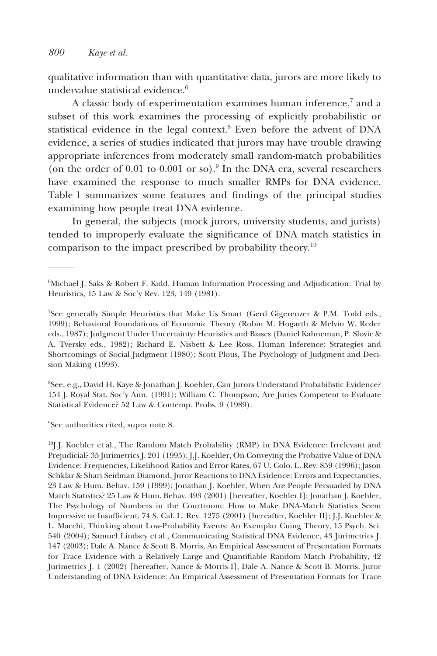qualitative information than with quantitative data, jurors are more likely to undervalue statistical evidence.<sup>6</sup>

A classic body of experimentation examines human inference,<sup>7</sup> and a subset of this work examines the processing of explicitly probabilistic or statistical evidence in the legal context.<sup>8</sup> Even before the advent of DNA evidence, a series of studies indicated that jurors may have trouble drawing appropriate inferences from moderately small random-match probabilities (on the order of 0.01 to 0.001 or so).<sup>9</sup> In the DNA era, several researchers have examined the response to much smaller RMPs for DNA evidence. Table 1 summarizes some features and findings of the principal studies examining how people treat DNA evidence.

In general, the subjects (mock jurors, university students, and jurists) tended to improperly evaluate the significance of DNA match statistics in comparison to the impact prescribed by probability theory.10

8 See, e.g., David H. Kaye & Jonathan J. Koehler, Can Jurors Understand Probabilistic Evidence? 154 J. Royal Stat. Soc'y Ann. (1991); William C. Thompson, Are Juries Competent to Evaluate Statistical Evidence? 52 Law & Contemp. Probs. 9 (1989).

9 See authorities cited, supra note 8.

 $10$ <sup>I.</sup>J. Koehler et al., The Random Match Probability (RMP) in DNA Evidence: Irrelevant and Prejudicial? 35 Jurimetrics J. 201 (1995); J.J. Koehler, On Conveying the Probative Value of DNA Evidence: Frequencies, Likelihood Ratios and Error Rates, 67 U. Colo. L. Rev. 859 (1996); Jason Schklar & Shari Seidman Diamond, Juror Reactions to DNA Evidence: Errors and Expectancies, 23 Law & Hum. Behav. 159 (1999); Jonathan J. Koehler, When Are People Persuaded by DNA Match Statistics? 25 Law & Hum. Behav. 493 (2001) [hereafter, Koehler I]; Jonathan J. Koehler, The Psychology of Numbers in the Courtroom: How to Make DNA-Match Statistics Seem Impressive or Insufficient, 74 S. Cal. L. Rev. 1275 (2001) [hereafter, Koehler II]; J.J. Koehler & L. Macchi, Thinking about Low-Probability Events: An Exemplar Cuing Theory, 15 Psych. Sci. 540 (2004); Samuel Lindsey et al., Communicating Statistical DNA Evidence, 43 Jurimetrics J. 147 (2003); Dale A. Nance & Scott B. Morris, An Empirical Assessment of Presentation Formats for Trace Evidence with a Relatively Large and Quantifiable Random Match Probability, 42 Jurimetrics J. 1 (2002) [hereafter, Nance & Morris I], Dale A. Nance & Scott B. Morris, Juror Understanding of DNA Evidence: An Empirical Assessment of Presentation Formats for Trace

<sup>6</sup> Michael J. Saks & Robert F. Kidd, Human Information Processing and Adjudication: Trial by Heuristics, 15 Law & Soc'y Rev. 123, 149 (1981).

<sup>7</sup> See generally Simple Heuristics that Make Us Smart (Gerd Gigerenzer & P.M. Todd eds., 1999); Behavioral Foundations of Economic Theory (Robin M. Hogarth & Melvin W. Reder eds., 1987); Judgment Under Uncertainty: Heuristics and Biases (Daniel Kahneman, P. Slovic & A. Tversky eds., 1982); Richard E. Nisbett & Lee Ross, Human Inference: Strategies and Shortcomings of Social Judgment (1980); Scott Plous, The Psychology of Judgment and Decision Making (1993).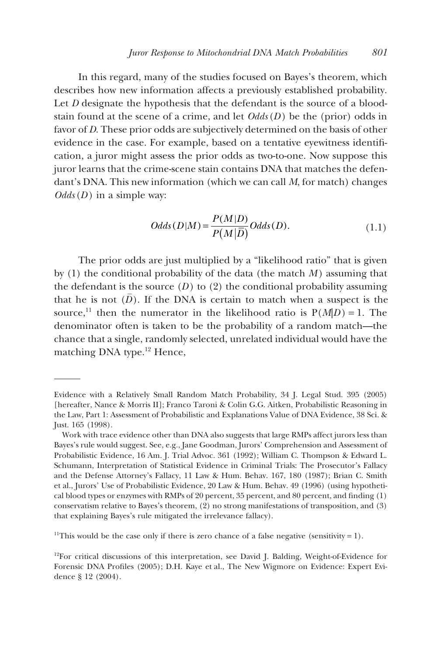In this regard, many of the studies focused on Bayes's theorem, which describes how new information affects a previously established probability. Let *D* designate the hypothesis that the defendant is the source of a bloodstain found at the scene of a crime, and let *Odds* (*D*) be the (prior) odds in favor of *D*. These prior odds are subjectively determined on the basis of other evidence in the case. For example, based on a tentative eyewitness identification, a juror might assess the prior odds as two-to-one. Now suppose this juror learns that the crime-scene stain contains DNA that matches the defendant's DNA. This new information (which we can call *M*, for match) changes *Odds* (*D*) in a simple way:

$$
Odds(D|M) = \frac{P(M|D)}{P(M|\overline{D})}Odds(D). \tag{1.1}
$$

The prior odds are just multiplied by a "likelihood ratio" that is given by  $(1)$  the conditional probability of the data (the match *M*) assuming that the defendant is the source  $(D)$  to  $(2)$  the conditional probability assuming that he is not  $(\overline{D})$ . If the DNA is certain to match when a suspect is the source,<sup>11</sup> then the numerator in the likelihood ratio is  $P(M|D) = 1$ . The denominator often is taken to be the probability of a random match—the chance that a single, randomly selected, unrelated individual would have the matching DNA type.<sup>12</sup> Hence,

<sup>11</sup>This would be the case only if there is zero chance of a false negative (sensitivity = 1).

Evidence with a Relatively Small Random Match Probability, 34 J. Legal Stud. 395 (2005) [hereafter, Nance & Morris II]; Franco Taroni & Colin G.G. Aitken, Probabilistic Reasoning in the Law, Part 1: Assessment of Probabilistic and Explanations Value of DNA Evidence, 38 Sci. & Just. 165 (1998).

Work with trace evidence other than DNA also suggests that large RMPs affect jurors less than Bayes's rule would suggest. See, e.g., Jane Goodman, Jurors' Comprehension and Assessment of Probabilistic Evidence, 16 Am. J. Trial Advoc. 361 (1992); William C. Thompson & Edward L. Schumann, Interpretation of Statistical Evidence in Criminal Trials: The Prosecutor's Fallacy and the Defense Attorney's Fallacy, 11 Law & Hum. Behav. 167, 180 (1987); Brian C. Smith et al., Jurors' Use of Probabilistic Evidence, 20 Law & Hum. Behav. 49 (1996) (using hypothetical blood types or enzymes with RMPs of 20 percent, 35 percent, and 80 percent, and finding (1) conservatism relative to Bayes's theorem, (2) no strong manifestations of transposition, and (3) that explaining Bayes's rule mitigated the irrelevance fallacy).

 $12$ For critical discussions of this interpretation, see David J. Balding, Weight-of-Evidence for Forensic DNA Profiles (2005); D.H. Kaye et al., The New Wigmore on Evidence: Expert Evidence § 12 (2004).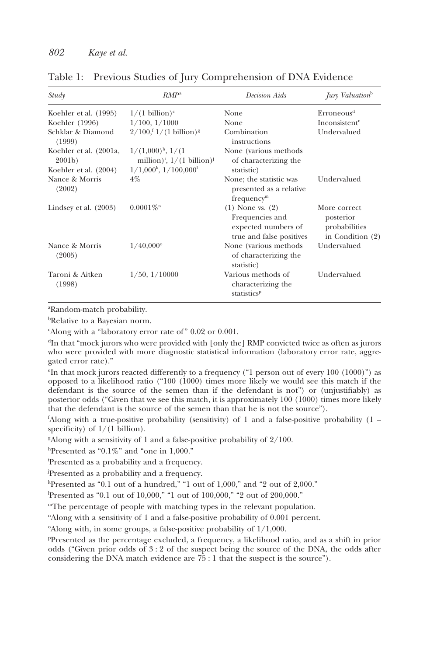| Study                                       | $RMP^a$                                                                        | <b>Decision Aids</b>                                                                       | Jury Valuation <sup>b</sup>                                      |  |
|---------------------------------------------|--------------------------------------------------------------------------------|--------------------------------------------------------------------------------------------|------------------------------------------------------------------|--|
| Koehler et al. (1995)                       | $1/(1 \text{ billion})^c$                                                      | None                                                                                       | Errorous <sup>d</sup>                                            |  |
| Koehler (1996)                              | 1/100, 1/1000                                                                  | None                                                                                       | Inconsistent <sup>e</sup>                                        |  |
| Schklar & Diamond<br>(1999)                 | $2/100$ , $1/(1 \text{ billion})$ <sup>g</sup>                                 | Combination<br>instructions                                                                | Undervalued                                                      |  |
| Koehler et al. (2001a,<br>2001 <sub>b</sub> | $1/(1,000)^{h}$ , $1/(1)$<br>million) <sup>i</sup> , $1/(1 \text{ billion})^j$ | None (various methods)<br>of characterizing the                                            |                                                                  |  |
| Koehler et al. (2004)                       | $1/1,000^k, 1/100,000^l$                                                       | statistic)                                                                                 |                                                                  |  |
| Nance & Morris<br>(2002)                    | $4\%$                                                                          | None; the statistic was<br>presented as a relative<br>frequency <sup>m</sup>               | Undervalued                                                      |  |
| Lindsey et al. $(2003)$                     | $0.0001\%$ <sup>n</sup>                                                        | $(1)$ None vs. $(2)$<br>Frequencies and<br>expected numbers of<br>true and false positives | More correct<br>posterior<br>probabilities<br>in Condition $(2)$ |  |
| Nance & Morris<br>(2005)                    | $1/40,000^{\circ}$                                                             | None (various methods)<br>of characterizing the<br>statistic)                              | Undervalued                                                      |  |
| Taroni & Aitken<br>(1998)                   | 1/50, 1/10000                                                                  | Various methods of<br>characterizing the<br>statistics <sup>p</sup>                        | Undervalued                                                      |  |

Table 1: Previous Studies of Jury Comprehension of DNA Evidence

a Random-match probability.

b Relative to a Bayesian norm.

c Along with a "laboratory error rate of " 0.02 or 0.001.

d In that "mock jurors who were provided with [only the] RMP convicted twice as often as jurors who were provided with more diagnostic statistical information (laboratory error rate, aggregated error rate)."

e In that mock jurors reacted differently to a frequency ("1 person out of every 100 (1000)") as opposed to a likelihood ratio ("100 (1000) times more likely we would see this match if the defendant is the source of the semen than if the defendant is not") or (unjustifiably) as posterior odds ("Given that we see this match, it is approximately 100 (1000) times more likely that the defendant is the source of the semen than that he is not the source").

f Along with a true-positive probability (sensitivity) of 1 and a false-positive probability (1 – specificity) of  $1/(1 \text{ billion})$ .

g Along with a sensitivity of 1 and a false-positive probability of 2/100.

<sup>h</sup>Presented as "0.1%" and "one in 1,000."

i Presented as a probability and a frequency.

j Presented as a probability and a frequency.

k Presented as "0.1 out of a hundred," "1 out of 1,000," and "2 out of 2,000."

l Presented as "0.1 out of 10,000," "1 out of 100,000," "2 out of 200,000."

mThe percentage of people with matching types in the relevant population.

nAlong with a sensitivity of 1 and a false-positive probability of 0.001 percent.

<sup>o</sup>Along with, in some groups, a false-positive probability of  $1/1,000$ .

p Presented as the percentage excluded, a frequency, a likelihood ratio, and as a shift in prior odds ("Given prior odds of 3 : 2 of the suspect being the source of the DNA, the odds after considering the DNA match evidence are 75 : 1 that the suspect is the source").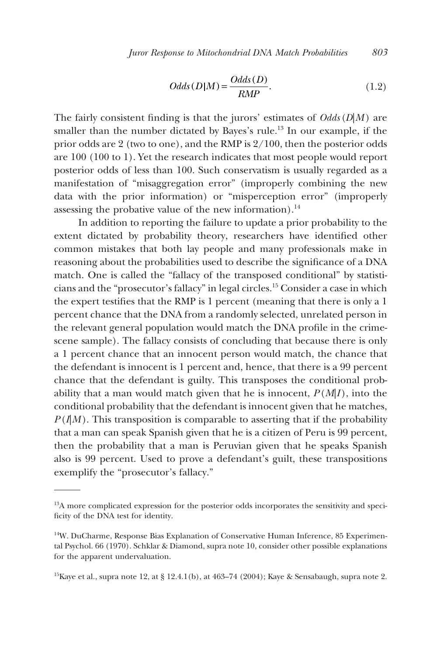$$
Odds(D|M) = \frac{Odds(D)}{RMP}.
$$
\n(1.2)

The fairly consistent finding is that the jurors' estimates of *Odds* (*D*|*M* ) are smaller than the number dictated by Bayes's rule.<sup>13</sup> In our example, if the prior odds are 2 (two to one), and the RMP is 2/100, then the posterior odds are 100 (100 to 1). Yet the research indicates that most people would report posterior odds of less than 100. Such conservatism is usually regarded as a manifestation of "misaggregation error" (improperly combining the new data with the prior information) or "misperception error" (improperly assessing the probative value of the new information). $^{14}$ 

In addition to reporting the failure to update a prior probability to the extent dictated by probability theory, researchers have identified other common mistakes that both lay people and many professionals make in reasoning about the probabilities used to describe the significance of a DNA match. One is called the "fallacy of the transposed conditional" by statisticians and the "prosecutor's fallacy" in legal circles.15 Consider a case in which the expert testifies that the RMP is 1 percent (meaning that there is only a 1 percent chance that the DNA from a randomly selected, unrelated person in the relevant general population would match the DNA profile in the crimescene sample). The fallacy consists of concluding that because there is only a 1 percent chance that an innocent person would match, the chance that the defendant is innocent is 1 percent and, hence, that there is a 99 percent chance that the defendant is guilty. This transposes the conditional probability that a man would match given that he is innocent,  $P(M|I)$ , into the conditional probability that the defendant is innocent given that he matches,  $P(\mathcal{I}|M)$ . This transposition is comparable to asserting that if the probability that a man can speak Spanish given that he is a citizen of Peru is 99 percent, then the probability that a man is Peruvian given that he speaks Spanish also is 99 percent. Used to prove a defendant's guilt, these transpositions exemplify the "prosecutor's fallacy."

 $13A$  more complicated expression for the posterior odds incorporates the sensitivity and specificity of the DNA test for identity.

<sup>&</sup>lt;sup>14</sup>W. DuCharme, Response Bias Explanation of Conservative Human Inference, 85 Experimental Psychol. 66 (1970). Schklar & Diamond, supra note 10, consider other possible explanations for the apparent undervaluation.

<sup>&</sup>lt;sup>15</sup>Kaye et al., supra note 12, at § 12.4.1(b), at  $463-74$  (2004); Kaye & Sensabaugh, supra note 2.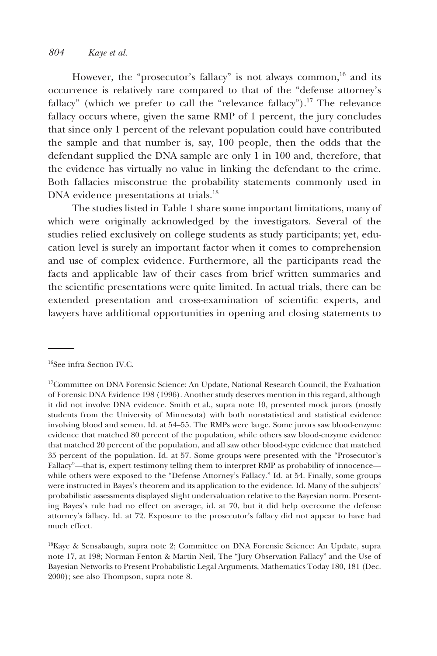#### *804 Kaye et al.*

However, the "prosecutor's fallacy" is not always common, $^{16}$  and its occurrence is relatively rare compared to that of the "defense attorney's fallacy" (which we prefer to call the "relevance fallacy").<sup>17</sup> The relevance fallacy occurs where, given the same RMP of 1 percent, the jury concludes that since only 1 percent of the relevant population could have contributed the sample and that number is, say, 100 people, then the odds that the defendant supplied the DNA sample are only 1 in 100 and, therefore, that the evidence has virtually no value in linking the defendant to the crime. Both fallacies misconstrue the probability statements commonly used in DNA evidence presentations at trials.<sup>18</sup>

The studies listed in Table 1 share some important limitations, many of which were originally acknowledged by the investigators. Several of the studies relied exclusively on college students as study participants; yet, education level is surely an important factor when it comes to comprehension and use of complex evidence. Furthermore, all the participants read the facts and applicable law of their cases from brief written summaries and the scientific presentations were quite limited. In actual trials, there can be extended presentation and cross-examination of scientific experts, and lawyers have additional opportunities in opening and closing statements to

<sup>16</sup>See infra Section IV.C.

<sup>&</sup>lt;sup>17</sup>Committee on DNA Forensic Science: An Update, National Research Council, the Evaluation of Forensic DNA Evidence 198 (1996). Another study deserves mention in this regard, although it did not involve DNA evidence. Smith et al., supra note 10, presented mock jurors (mostly students from the University of Minnesota) with both nonstatistical and statistical evidence involving blood and semen. Id. at 54–55. The RMPs were large. Some jurors saw blood-enzyme evidence that matched 80 percent of the population, while others saw blood-enzyme evidence that matched 20 percent of the population, and all saw other blood-type evidence that matched 35 percent of the population. Id. at 57. Some groups were presented with the "Prosecutor's Fallacy"—that is, expert testimony telling them to interpret RMP as probability of innocence while others were exposed to the "Defense Attorney's Fallacy." Id. at 54. Finally, some groups were instructed in Bayes's theorem and its application to the evidence. Id. Many of the subjects' probabilistic assessments displayed slight undervaluation relative to the Bayesian norm. Presenting Bayes's rule had no effect on average, id. at 70, but it did help overcome the defense attorney's fallacy. Id. at 72. Exposure to the prosecutor's fallacy did not appear to have had much effect.

<sup>18</sup>Kaye & Sensabaugh, supra note 2; Committee on DNA Forensic Science: An Update, supra note 17, at 198; Norman Fenton & Martin Neil, The "Jury Observation Fallacy" and the Use of Bayesian Networks to Present Probabilistic Legal Arguments, Mathematics Today 180, 181 (Dec. 2000); see also Thompson, supra note 8.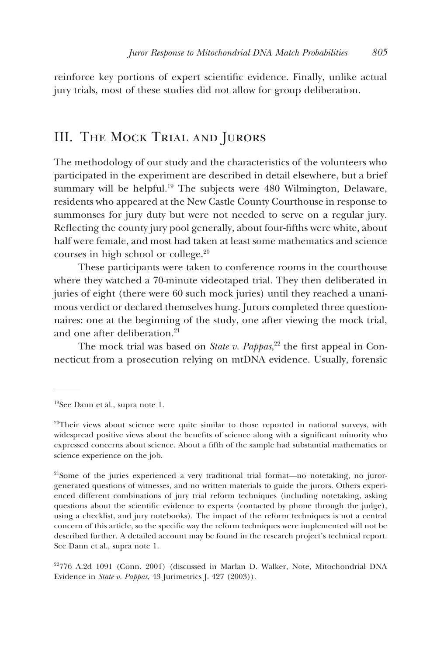reinforce key portions of expert scientific evidence. Finally, unlike actual jury trials, most of these studies did not allow for group deliberation.

## III. The Mock Trial and Jurors

The methodology of our study and the characteristics of the volunteers who participated in the experiment are described in detail elsewhere, but a brief summary will be helpful.<sup>19</sup> The subjects were 480 Wilmington, Delaware, residents who appeared at the New Castle County Courthouse in response to summonses for jury duty but were not needed to serve on a regular jury. Reflecting the county jury pool generally, about four-fifths were white, about half were female, and most had taken at least some mathematics and science courses in high school or college.20

These participants were taken to conference rooms in the courthouse where they watched a 70-minute videotaped trial. They then deliberated in juries of eight (there were 60 such mock juries) until they reached a unanimous verdict or declared themselves hung. Jurors completed three questionnaires: one at the beginning of the study, one after viewing the mock trial, and one after deliberation.<sup>21</sup>

The mock trial was based on *State v. Pappas*, <sup>22</sup> the first appeal in Connecticut from a prosecution relying on mtDNA evidence. Usually, forensic

<sup>19</sup>See Dann et al., supra note 1.

 $20$ Their views about science were quite similar to those reported in national surveys, with widespread positive views about the benefits of science along with a significant minority who expressed concerns about science. About a fifth of the sample had substantial mathematics or science experience on the job.

 $21$ Some of the juries experienced a very traditional trial format—no notetaking, no jurorgenerated questions of witnesses, and no written materials to guide the jurors. Others experienced different combinations of jury trial reform techniques (including notetaking, asking questions about the scientific evidence to experts (contacted by phone through the judge), using a checklist, and jury notebooks). The impact of the reform techniques is not a central concern of this article, so the specific way the reform techniques were implemented will not be described further. A detailed account may be found in the research project's technical report. See Dann et al., supra note 1.

<sup>22776</sup> A.2d 1091 (Conn. 2001) (discussed in Marlan D. Walker, Note, Mitochondrial DNA Evidence in *State v. Pappas*, 43 Jurimetrics J. 427 (2003)).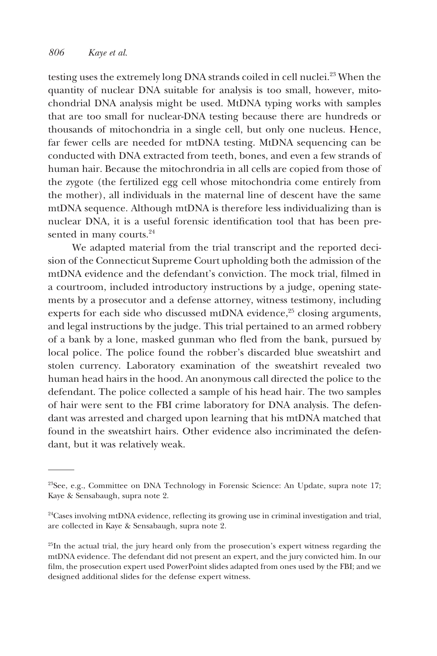testing uses the extremely long DNA strands coiled in cell nuclei.<sup>23</sup> When the quantity of nuclear DNA suitable for analysis is too small, however, mitochondrial DNA analysis might be used. MtDNA typing works with samples that are too small for nuclear-DNA testing because there are hundreds or thousands of mitochondria in a single cell, but only one nucleus. Hence, far fewer cells are needed for mtDNA testing. MtDNA sequencing can be conducted with DNA extracted from teeth, bones, and even a few strands of human hair. Because the mitochrondria in all cells are copied from those of the zygote (the fertilized egg cell whose mitochondria come entirely from the mother), all individuals in the maternal line of descent have the same mtDNA sequence. Although mtDNA is therefore less individualizing than is nuclear DNA, it is a useful forensic identification tool that has been presented in many courts.<sup>24</sup>

We adapted material from the trial transcript and the reported decision of the Connecticut Supreme Court upholding both the admission of the mtDNA evidence and the defendant's conviction. The mock trial, filmed in a courtroom, included introductory instructions by a judge, opening statements by a prosecutor and a defense attorney, witness testimony, including experts for each side who discussed mtDNA evidence, $25$  closing arguments, and legal instructions by the judge. This trial pertained to an armed robbery of a bank by a lone, masked gunman who fled from the bank, pursued by local police. The police found the robber's discarded blue sweatshirt and stolen currency. Laboratory examination of the sweatshirt revealed two human head hairs in the hood. An anonymous call directed the police to the defendant. The police collected a sample of his head hair. The two samples of hair were sent to the FBI crime laboratory for DNA analysis. The defendant was arrested and charged upon learning that his mtDNA matched that found in the sweatshirt hairs. Other evidence also incriminated the defendant, but it was relatively weak.

 $2<sup>23</sup>$ See, e.g., Committee on DNA Technology in Forensic Science: An Update, supra note 17; Kaye & Sensabaugh, supra note 2.

<sup>&</sup>lt;sup>24</sup>Cases involving mtDNA evidence, reflecting its growing use in criminal investigation and trial, are collected in Kaye & Sensabaugh, supra note 2.

 $25$ In the actual trial, the jury heard only from the prosecution's expert witness regarding the mtDNA evidence. The defendant did not present an expert, and the jury convicted him. In our film, the prosecution expert used PowerPoint slides adapted from ones used by the FBI; and we designed additional slides for the defense expert witness.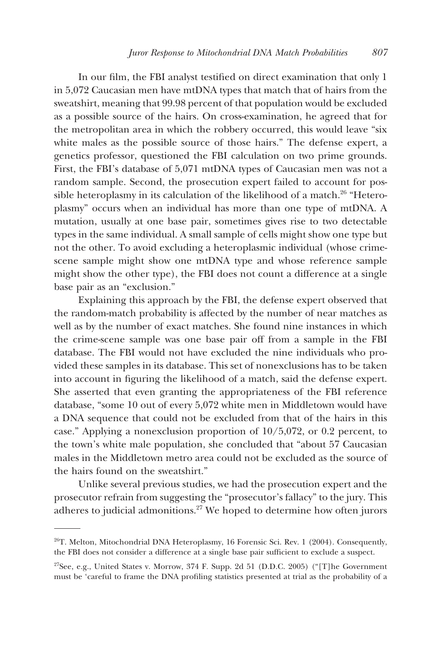In our film, the FBI analyst testified on direct examination that only 1 in 5,072 Caucasian men have mtDNA types that match that of hairs from the sweatshirt, meaning that 99.98 percent of that population would be excluded as a possible source of the hairs. On cross-examination, he agreed that for the metropolitan area in which the robbery occurred, this would leave "six white males as the possible source of those hairs." The defense expert, a genetics professor, questioned the FBI calculation on two prime grounds. First, the FBI's database of 5,071 mtDNA types of Caucasian men was not a random sample. Second, the prosecution expert failed to account for possible heteroplasmy in its calculation of the likelihood of a match.<sup>26</sup> "Heteroplasmy" occurs when an individual has more than one type of mtDNA. A mutation, usually at one base pair, sometimes gives rise to two detectable types in the same individual. A small sample of cells might show one type but not the other. To avoid excluding a heteroplasmic individual (whose crimescene sample might show one mtDNA type and whose reference sample might show the other type), the FBI does not count a difference at a single base pair as an "exclusion."

Explaining this approach by the FBI, the defense expert observed that the random-match probability is affected by the number of near matches as well as by the number of exact matches. She found nine instances in which the crime-scene sample was one base pair off from a sample in the FBI database. The FBI would not have excluded the nine individuals who provided these samples in its database. This set of nonexclusions has to be taken into account in figuring the likelihood of a match, said the defense expert. She asserted that even granting the appropriateness of the FBI reference database, "some 10 out of every 5,072 white men in Middletown would have a DNA sequence that could not be excluded from that of the hairs in this case." Applying a nonexclusion proportion of 10/5,072, or 0.2 percent, to the town's white male population, she concluded that "about 57 Caucasian males in the Middletown metro area could not be excluded as the source of the hairs found on the sweatshirt."

Unlike several previous studies, we had the prosecution expert and the prosecutor refrain from suggesting the "prosecutor's fallacy" to the jury. This adheres to judicial admonitions.<sup>27</sup> We hoped to determine how often jurors

 $26T$ . Melton, Mitochondrial DNA Heteroplasmy, 16 Forensic Sci. Rev. 1 (2004). Consequently, the FBI does not consider a difference at a single base pair sufficient to exclude a suspect.

<sup>&</sup>lt;sup>27</sup>See, e.g., United States v. Morrow, 374 F. Supp. 2d 51 (D.D.C. 2005) ("[T]he Government must be 'careful to frame the DNA profiling statistics presented at trial as the probability of a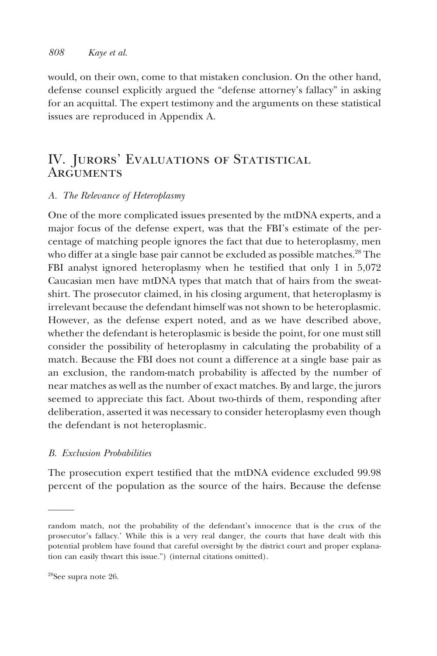would, on their own, come to that mistaken conclusion. On the other hand, defense counsel explicitly argued the "defense attorney's fallacy" in asking for an acquittal. The expert testimony and the arguments on these statistical issues are reproduced in Appendix A.

## IV. JURORS' EVALUATIONS OF STATISTICAL **ARGUMENTS**

#### *A. The Relevance of Heteroplasmy*

One of the more complicated issues presented by the mtDNA experts, and a major focus of the defense expert, was that the FBI's estimate of the percentage of matching people ignores the fact that due to heteroplasmy, men who differ at a single base pair cannot be excluded as possible matches.<sup>28</sup> The FBI analyst ignored heteroplasmy when he testified that only 1 in 5,072 Caucasian men have mtDNA types that match that of hairs from the sweatshirt. The prosecutor claimed, in his closing argument, that heteroplasmy is irrelevant because the defendant himself was not shown to be heteroplasmic. However, as the defense expert noted, and as we have described above, whether the defendant is heteroplasmic is beside the point, for one must still consider the possibility of heteroplasmy in calculating the probability of a match. Because the FBI does not count a difference at a single base pair as an exclusion, the random-match probability is affected by the number of near matches as well as the number of exact matches. By and large, the jurors seemed to appreciate this fact. About two-thirds of them, responding after deliberation, asserted it was necessary to consider heteroplasmy even though the defendant is not heteroplasmic.

#### *B. Exclusion Probabilities*

The prosecution expert testified that the mtDNA evidence excluded 99.98 percent of the population as the source of the hairs. Because the defense

random match, not the probability of the defendant's innocence that is the crux of the prosecutor's fallacy.' While this is a very real danger, the courts that have dealt with this potential problem have found that careful oversight by the district court and proper explanation can easily thwart this issue.") (internal citations omitted).

<sup>28</sup>See supra note 26.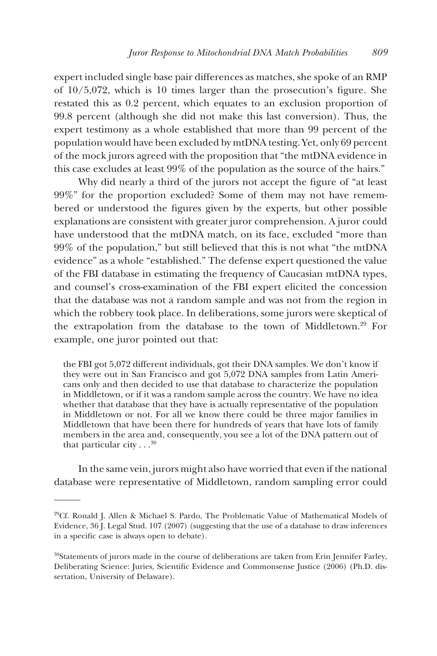expert included single base pair differences as matches, she spoke of an RMP of 10/5,072, which is 10 times larger than the prosecution's figure. She restated this as 0.2 percent, which equates to an exclusion proportion of 99.8 percent (although she did not make this last conversion). Thus, the expert testimony as a whole established that more than 99 percent of the population would have been excluded by mtDNA testing. Yet, only 69 percent of the mock jurors agreed with the proposition that "the mtDNA evidence in this case excludes at least 99% of the population as the source of the hairs."

Why did nearly a third of the jurors not accept the figure of "at least 99%" for the proportion excluded? Some of them may not have remembered or understood the figures given by the experts, but other possible explanations are consistent with greater juror comprehension. A juror could have understood that the mtDNA match, on its face, excluded "more than 99% of the population," but still believed that this is not what "the mtDNA evidence" as a whole "established." The defense expert questioned the value of the FBI database in estimating the frequency of Caucasian mtDNA types, and counsel's cross-examination of the FBI expert elicited the concession that the database was not a random sample and was not from the region in which the robbery took place. In deliberations, some jurors were skeptical of the extrapolation from the database to the town of Middletown.<sup>29</sup> For example, one juror pointed out that:

the FBI got 5,072 different individuals, got their DNA samples. We don't know if they were out in San Francisco and got 5,072 DNA samples from Latin Americans only and then decided to use that database to characterize the population in Middletown, or if it was a random sample across the country. We have no idea whether that database that they have is actually representative of the population in Middletown or not. For all we know there could be three major families in Middletown that have been there for hundreds of years that have lots of family members in the area and, consequently, you see a lot of the DNA pattern out of that particular city... $^{30}$ 

In the same vein, jurors might also have worried that even if the national database were representative of Middletown, random sampling error could

<sup>&</sup>lt;sup>29</sup>Cf. Ronald J. Allen & Michael S. Pardo, The Problematic Value of Mathematical Models of Evidence, 36 J. Legal Stud. 107 (2007) (suggesting that the use of a database to draw inferences in a specific case is always open to debate).

<sup>&</sup>lt;sup>30</sup>Statements of jurors made in the course of deliberations are taken from Erin Jennifer Farley, Deliberating Science: Juries, Scientific Evidence and Commonsense Justice (2006) (Ph.D. dissertation, University of Delaware).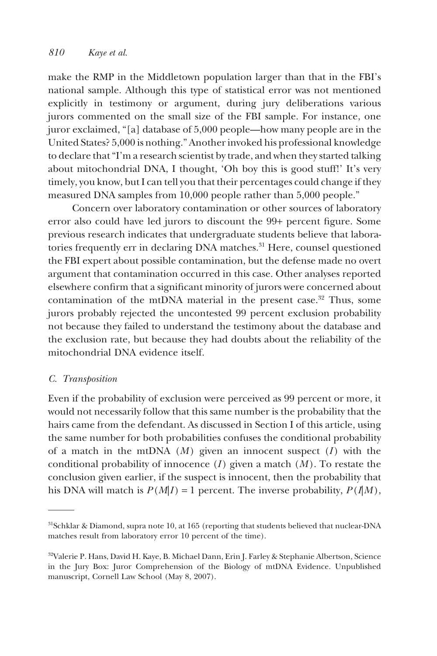make the RMP in the Middletown population larger than that in the FBI's national sample. Although this type of statistical error was not mentioned explicitly in testimony or argument, during jury deliberations various jurors commented on the small size of the FBI sample. For instance, one juror exclaimed, "[a] database of 5,000 people—how many people are in the United States? 5,000 is nothing." Another invoked his professional knowledge to declare that "I'm a research scientist by trade, and when they started talking about mitochondrial DNA, I thought, 'Oh boy this is good stuff!' It's very timely, you know, but I can tell you that their percentages could change if they measured DNA samples from 10,000 people rather than 5,000 people."

Concern over laboratory contamination or other sources of laboratory error also could have led jurors to discount the 99+ percent figure. Some previous research indicates that undergraduate students believe that laboratories frequently err in declaring DNA matches.<sup>31</sup> Here, counsel questioned the FBI expert about possible contamination, but the defense made no overt argument that contamination occurred in this case. Other analyses reported elsewhere confirm that a significant minority of jurors were concerned about contamination of the mtDNA material in the present case. $32$  Thus, some jurors probably rejected the uncontested 99 percent exclusion probability not because they failed to understand the testimony about the database and the exclusion rate, but because they had doubts about the reliability of the mitochondrial DNA evidence itself.

#### *C. Transposition*

Even if the probability of exclusion were perceived as 99 percent or more, it would not necessarily follow that this same number is the probability that the hairs came from the defendant. As discussed in Section I of this article, using the same number for both probabilities confuses the conditional probability of a match in the mtDNA  $(M)$  given an innocent suspect  $(I)$  with the conditional probability of innocence  $(I)$  given a match  $(M)$ . To restate the conclusion given earlier, if the suspect is innocent, then the probability that his DNA will match is  $P(M|I) = 1$  percent. The inverse probability,  $P(I|M)$ ,

<sup>31</sup>Schklar & Diamond, supra note 10, at 165 (reporting that students believed that nuclear-DNA matches result from laboratory error 10 percent of the time).

<sup>32</sup>Valerie P. Hans, David H. Kaye, B. Michael Dann, Erin J. Farley & Stephanie Albertson, Science in the Jury Box: Juror Comprehension of the Biology of mtDNA Evidence. Unpublished manuscript, Cornell Law School (May 8, 2007).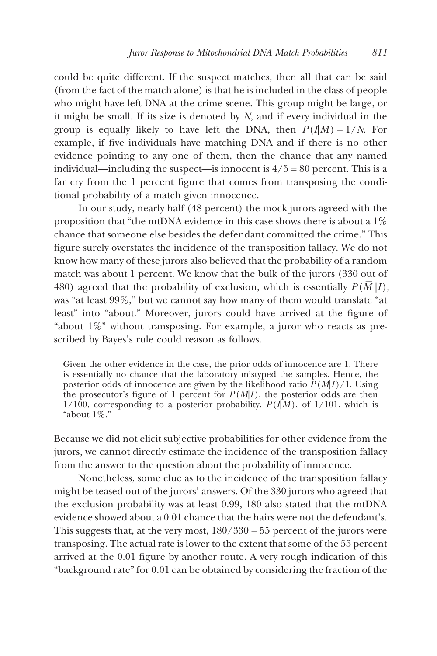could be quite different. If the suspect matches, then all that can be said (from the fact of the match alone) is that he is included in the class of people who might have left DNA at the crime scene. This group might be large, or it might be small. If its size is denoted by *N*, and if every individual in the group is equally likely to have left the DNA, then  $P(I|M) = 1/N$ . For example, if five individuals have matching DNA and if there is no other evidence pointing to any one of them, then the chance that any named individual—including the suspect—is innocent is  $4/5 = 80$  percent. This is a far cry from the 1 percent figure that comes from transposing the conditional probability of a match given innocence.

In our study, nearly half (48 percent) the mock jurors agreed with the proposition that "the mtDNA evidence in this case shows there is about a 1% chance that someone else besides the defendant committed the crime." This figure surely overstates the incidence of the transposition fallacy. We do not know how many of these jurors also believed that the probability of a random match was about 1 percent. We know that the bulk of the jurors (330 out of match was about 1 percent. We know that the bulk of the jurors (330 out of 480) agreed that the probability of exclusion, which is essentially  $P(\overline{M}|I)$ , was "at least 99%," but we cannot say how many of them would translate "at least" into "about." Moreover, jurors could have arrived at the figure of "about 1%" without transposing. For example, a juror who reacts as prescribed by Bayes's rule could reason as follows.

Given the other evidence in the case, the prior odds of innocence are 1. There is essentially no chance that the laboratory mistyped the samples. Hence, the posterior odds of innocence are given by the likelihood ratio  $\hat{P}(M|I)/1$ . Using the prosecutor's figure of 1 percent for  $P(M|I)$ , the posterior odds are then  $1/100$ , corresponding to a posterior probability,  $P(I|M)$ , of  $1/101$ , which is "about 1%."

Because we did not elicit subjective probabilities for other evidence from the jurors, we cannot directly estimate the incidence of the transposition fallacy from the answer to the question about the probability of innocence.

Nonetheless, some clue as to the incidence of the transposition fallacy might be teased out of the jurors' answers. Of the 330 jurors who agreed that the exclusion probability was at least 0.99, 180 also stated that the mtDNA evidence showed about a 0.01 chance that the hairs were not the defendant's. This suggests that, at the very most,  $180/330 = 55$  percent of the jurors were transposing. The actual rate is lower to the extent that some of the 55 percent arrived at the 0.01 figure by another route. A very rough indication of this "background rate" for 0.01 can be obtained by considering the fraction of the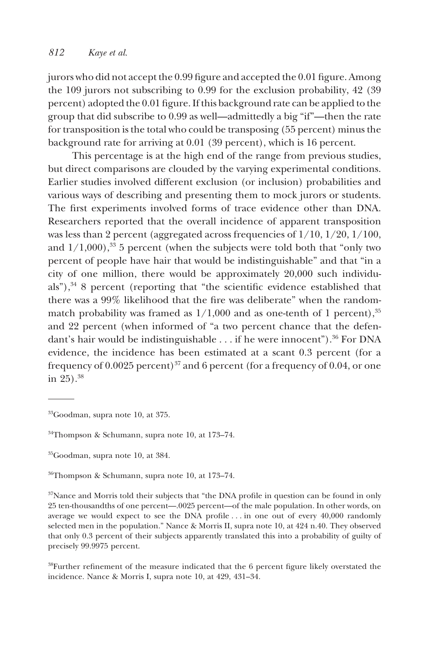jurors who did not accept the 0.99 figure and accepted the 0.01 figure. Among the 109 jurors not subscribing to 0.99 for the exclusion probability, 42 (39 percent) adopted the 0.01 figure. If this background rate can be applied to the group that did subscribe to 0.99 as well—admittedly a big "if"—then the rate for transposition is the total who could be transposing (55 percent) minus the background rate for arriving at 0.01 (39 percent), which is 16 percent.

This percentage is at the high end of the range from previous studies, but direct comparisons are clouded by the varying experimental conditions. Earlier studies involved different exclusion (or inclusion) probabilities and various ways of describing and presenting them to mock jurors or students. The first experiments involved forms of trace evidence other than DNA. Researchers reported that the overall incidence of apparent transposition was less than 2 percent (aggregated across frequencies of 1/10, 1/20, 1/100, and  $1/1,000$ ,<sup>33</sup> 5 percent (when the subjects were told both that "only two percent of people have hair that would be indistinguishable" and that "in a city of one million, there would be approximately 20,000 such individuals"), $34$  8 percent (reporting that "the scientific evidence established that there was a 99% likelihood that the fire was deliberate" when the randommatch probability was framed as  $1/1,000$  and as one-tenth of 1 percent),  $35$ and 22 percent (when informed of "a two percent chance that the defendant's hair would be indistinguishable . . . if he were innocent").  $36$  For DNA evidence, the incidence has been estimated at a scant 0.3 percent (for a frequency of  $0.0025$  percent)<sup>37</sup> and 6 percent (for a frequency of 0.04, or one in 25).38

<sup>37</sup>Nance and Morris told their subjects that "the DNA profile in question can be found in only 25 ten-thousandths of one percent—.0025 percent—of the male population. In other words, on average we would expect to see the DNA profile . . . in one out of every 40,000 randomly selected men in the population." Nance & Morris II, supra note 10, at 424 n.40. They observed that only 0.3 percent of their subjects apparently translated this into a probability of guilty of precisely 99.9975 percent.

38Further refinement of the measure indicated that the 6 percent figure likely overstated the incidence. Nance & Morris I, supra note 10, at 429, 431–34.

<sup>33</sup>Goodman, supra note 10, at 375.

<sup>34</sup>Thompson & Schumann, supra note 10, at 173–74.

<sup>35</sup>Goodman, supra note 10, at 384.

<sup>36</sup>Thompson & Schumann, supra note 10, at 173–74.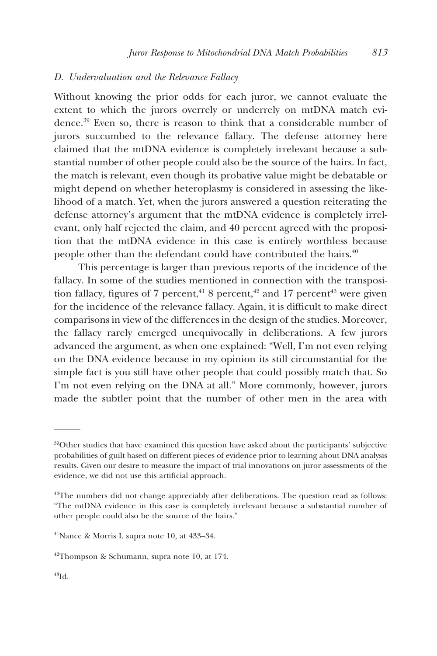#### *D. Undervaluation and the Relevance Fallacy*

Without knowing the prior odds for each juror, we cannot evaluate the extent to which the jurors overrely or underrely on mtDNA match evidence.39 Even so, there is reason to think that a considerable number of jurors succumbed to the relevance fallacy. The defense attorney here claimed that the mtDNA evidence is completely irrelevant because a substantial number of other people could also be the source of the hairs. In fact, the match is relevant, even though its probative value might be debatable or might depend on whether heteroplasmy is considered in assessing the likelihood of a match. Yet, when the jurors answered a question reiterating the defense attorney's argument that the mtDNA evidence is completely irrelevant, only half rejected the claim, and 40 percent agreed with the proposition that the mtDNA evidence in this case is entirely worthless because people other than the defendant could have contributed the hairs.<sup>40</sup>

This percentage is larger than previous reports of the incidence of the fallacy. In some of the studies mentioned in connection with the transposition fallacy, figures of 7 percent,<sup>41</sup> 8 percent,<sup>42</sup> and 17 percent<sup>43</sup> were given for the incidence of the relevance fallacy. Again, it is difficult to make direct comparisons in view of the differences in the design of the studies. Moreover, the fallacy rarely emerged unequivocally in deliberations. A few jurors advanced the argument, as when one explained: "Well, I'm not even relying on the DNA evidence because in my opinion its still circumstantial for the simple fact is you still have other people that could possibly match that. So I'm not even relying on the DNA at all." More commonly, however, jurors made the subtler point that the number of other men in the area with

<sup>39</sup>Other studies that have examined this question have asked about the participants' subjective probabilities of guilt based on different pieces of evidence prior to learning about DNA analysis results. Given our desire to measure the impact of trial innovations on juror assessments of the evidence, we did not use this artificial approach.

<sup>40</sup>The numbers did not change appreciably after deliberations. The question read as follows: "The mtDNA evidence in this case is completely irrelevant because a substantial number of other people could also be the source of the hairs."

 $41$ Nance & Morris I, supra note 10, at 433–34.

<sup>42</sup>Thompson & Schumann, supra note 10, at 174.

 $^{43}\mathrm{Id}.$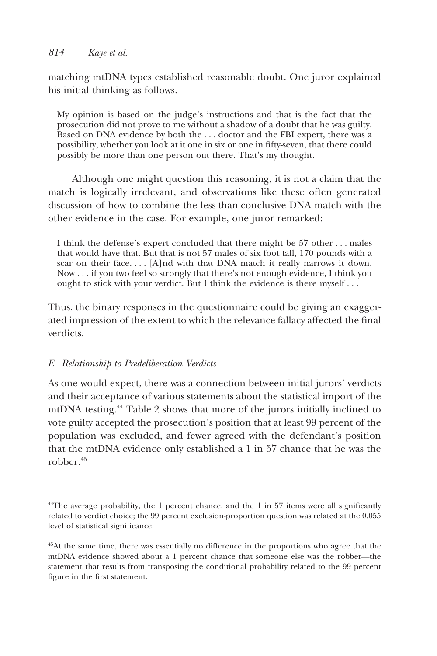#### *814 Kaye et al.*

matching mtDNA types established reasonable doubt. One juror explained his initial thinking as follows.

My opinion is based on the judge's instructions and that is the fact that the prosecution did not prove to me without a shadow of a doubt that he was guilty. Based on DNA evidence by both the . . . doctor and the FBI expert, there was a possibility, whether you look at it one in six or one in fifty-seven, that there could possibly be more than one person out there. That's my thought.

Although one might question this reasoning, it is not a claim that the match is logically irrelevant, and observations like these often generated discussion of how to combine the less-than-conclusive DNA match with the other evidence in the case. For example, one juror remarked:

I think the defense's expert concluded that there might be 57 other...males that would have that. But that is not 57 males of six foot tall, 170 pounds with a scar on their face.... [A]nd with that DNA match it really narrows it down. Now . . . if you two feel so strongly that there's not enough evidence, I think you ought to stick with your verdict. But I think the evidence is there myself...

Thus, the binary responses in the questionnaire could be giving an exaggerated impression of the extent to which the relevance fallacy affected the final verdicts.

#### *E. Relationship to Predeliberation Verdicts*

As one would expect, there was a connection between initial jurors' verdicts and their acceptance of various statements about the statistical import of the mtDNA testing.44 Table 2 shows that more of the jurors initially inclined to vote guilty accepted the prosecution's position that at least 99 percent of the population was excluded, and fewer agreed with the defendant's position that the mtDNA evidence only established a 1 in 57 chance that he was the robber.45

 $44$ The average probability, the 1 percent chance, and the 1 in 57 items were all significantly related to verdict choice; the 99 percent exclusion-proportion question was related at the 0.055 level of statistical significance.

<sup>45</sup>At the same time, there was essentially no difference in the proportions who agree that the mtDNA evidence showed about a 1 percent chance that someone else was the robber—the statement that results from transposing the conditional probability related to the 99 percent figure in the first statement.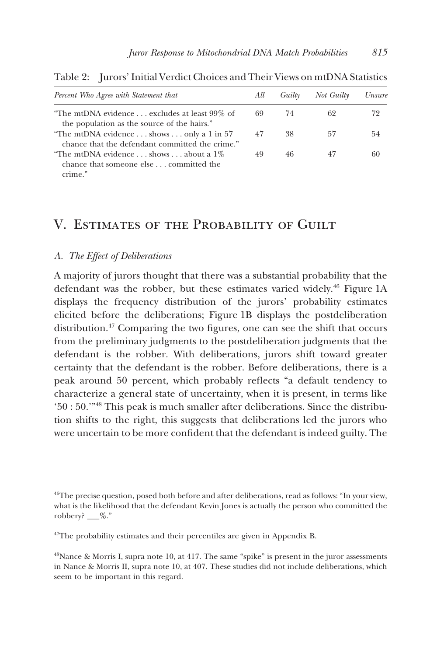| Percent Who Agree with Statement that                                                                       | All | Guilty | <b>Not Guilty</b> | Unsure |
|-------------------------------------------------------------------------------------------------------------|-----|--------|-------------------|--------|
| "The mtDNA evidenceexcludes at least 99% of<br>the population as the source of the hairs."                  | 69  | 74     | 62                | 72     |
| "The mtDNA evidence $\dots$ shows $\dots$ only a 1 in 57<br>chance that the defendant committed the crime." | 47  | 38     | 57                | 54     |
| "The mtDNA evidence  shows  about a $1\%$<br>chance that someone else committed the<br>crime."              | 49  | 46     | 47                | 60     |

Table 2: Jurors' Initial Verdict Choices and Their Views on mtDNA Statistics

## V. Estimates of the Probability of Guilt

#### *A. The Effect of Deliberations*

A majority of jurors thought that there was a substantial probability that the defendant was the robber, but these estimates varied widely.<sup>46</sup> Figure 1A displays the frequency distribution of the jurors' probability estimates elicited before the deliberations; Figure 1B displays the postdeliberation distribution.47 Comparing the two figures, one can see the shift that occurs from the preliminary judgments to the postdeliberation judgments that the defendant is the robber. With deliberations, jurors shift toward greater certainty that the defendant is the robber. Before deliberations, there is a peak around 50 percent, which probably reflects "a default tendency to characterize a general state of uncertainty, when it is present, in terms like '50 : 50.'"48 This peak is much smaller after deliberations. Since the distribution shifts to the right, this suggests that deliberations led the jurors who were uncertain to be more confident that the defendant is indeed guilty. The

<sup>46</sup>The precise question, posed both before and after deliberations, read as follows: "In your view, what is the likelihood that the defendant Kevin Jones is actually the person who committed the robbery?  $\_\%$ ."

<sup>47</sup>The probability estimates and their percentiles are given in Appendix B.

 $48$ Nance & Morris I, supra note 10, at 417. The same "spike" is present in the juror assessments in Nance & Morris II, supra note 10, at 407. These studies did not include deliberations, which seem to be important in this regard.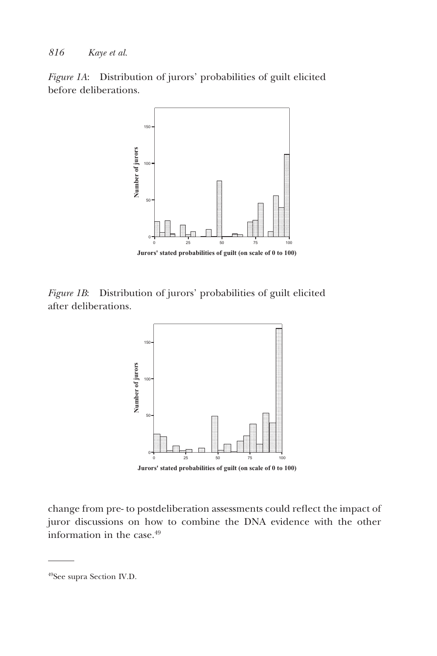*Figure 1A*: Distribution of jurors' probabilities of guilt elicited before deliberations.



*Figure 1B*: Distribution of jurors' probabilities of guilt elicited after deliberations.



**Jurors' stated probabilities of guilt (on scale of 0 to 100)**

change from pre- to postdeliberation assessments could reflect the impact of juror discussions on how to combine the DNA evidence with the other information in the case.49

<sup>49</sup>See supra Section IV.D.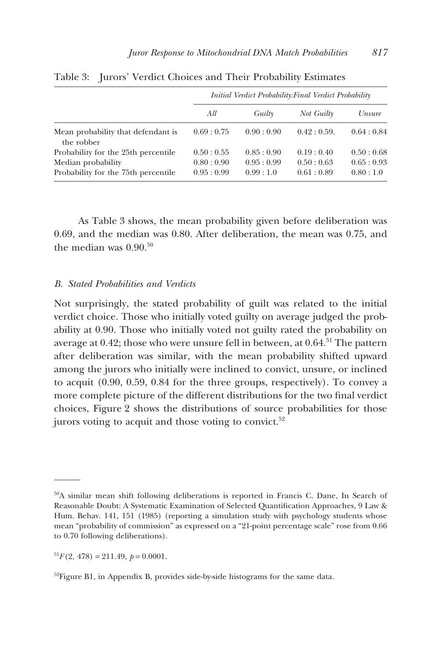|                                                  | Initial Verdict Probability: Final Verdict Probability |           |            |           |  |
|--------------------------------------------------|--------------------------------------------------------|-----------|------------|-----------|--|
|                                                  | All                                                    | Guilty    | Not Guilty | Unsure    |  |
| Mean probability that defendant is<br>the robber | 0.69:0.75                                              | 0.90:0.90 | 0.42:0.59. | 0.64:0.84 |  |
| Probability for the 25th percentile              | 0.50:0.55                                              | 0.85:0.90 | 0.19:0.40  | 0.50:0.68 |  |
| Median probability                               | 0.80:0.90                                              | 0.95:0.99 | 0.50:0.63  | 0.65:0.93 |  |
| Probability for the 75th percentile              | 0.95:0.99                                              | 0.99:1.0  | 0.61:0.89  | 0.80:1.0  |  |

Table 3: Jurors' Verdict Choices and Their Probability Estimates

As Table 3 shows, the mean probability given before deliberation was 0.69, and the median was 0.80. After deliberation, the mean was 0.75, and the median was 0.90.50

#### *B. Stated Probabilities and Verdicts*

Not surprisingly, the stated probability of guilt was related to the initial verdict choice. Those who initially voted guilty on average judged the probability at 0.90. Those who initially voted not guilty rated the probability on average at 0.42; those who were unsure fell in between, at  $0.64$ <sup>51</sup>. The pattern after deliberation was similar, with the mean probability shifted upward among the jurors who initially were inclined to convict, unsure, or inclined to acquit (0.90, 0.59, 0.84 for the three groups, respectively). To convey a more complete picture of the different distributions for the two final verdict choices, Figure 2 shows the distributions of source probabilities for those jurors voting to acquit and those voting to convict. $52$ 

 $^{51}F(2, 478) = 211.49, p = 0.0001.$ 

<sup>50</sup>A similar mean shift following deliberations is reported in Francis C. Dane, In Search of Reasonable Doubt: A Systematic Examination of Selected Quantification Approaches, 9 Law & Hum. Behav. 141, 151 (1985) (reporting a simulation study with psychology students whose mean "probability of commission" as expressed on a "21-point percentage scale" rose from 0.66 to 0.70 following deliberations).

<sup>52</sup>Figure B1, in Appendix B, provides side-by-side histograms for the same data.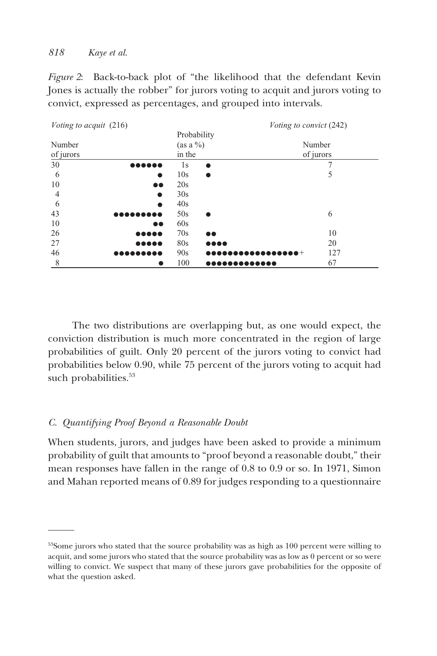#### *818 Kaye et al.*

*Figure 2*: Back-to-back plot of "the likelihood that the defendant Kevin Jones is actually the robber" for jurors voting to acquit and jurors voting to convict, expressed as percentages, and grouped into intervals.

| <i>Voting to acquit</i> (216) |                  |             |                  | <i>Voting to convict</i> (242) |
|-------------------------------|------------------|-------------|------------------|--------------------------------|
|                               |                  | Probability |                  |                                |
| Number                        |                  | $(as a \%)$ |                  | Number                         |
| of jurors                     |                  | in the      |                  | of jurors                      |
| 30                            |                  | 1s          | $\bullet$        |                                |
| 6                             |                  | 10s         | $\bullet$        | 5                              |
| 10                            | $\bullet\bullet$ | 20s         |                  |                                |
| 4                             |                  | 30s         |                  |                                |
| 6                             |                  | 40s         |                  |                                |
| 43                            |                  | 50s         | ▲                | 6                              |
| 10                            | $\bullet\bullet$ | 60s         |                  |                                |
| 26                            | $00000$          | 70s         | $\bullet\bullet$ | 10                             |
| 27                            | $00000$          | 80s         | 0000             | 20                             |
| 46                            |                  | 90s         |                  | 127                            |
| 8                             |                  | 100         |                  | 67                             |

The two distributions are overlapping but, as one would expect, the conviction distribution is much more concentrated in the region of large probabilities of guilt. Only 20 percent of the jurors voting to convict had probabilities below 0.90, while 75 percent of the jurors voting to acquit had such probabilities.<sup>53</sup>

#### *C. Quantifying Proof Beyond a Reasonable Doubt*

When students, jurors, and judges have been asked to provide a minimum probability of guilt that amounts to "proof beyond a reasonable doubt," their mean responses have fallen in the range of 0.8 to 0.9 or so. In 1971, Simon and Mahan reported means of 0.89 for judges responding to a questionnaire

 $53$ Some jurors who stated that the source probability was as high as  $100$  percent were willing to acquit, and some jurors who stated that the source probability was as low as 0 percent or so were willing to convict. We suspect that many of these jurors gave probabilities for the opposite of what the question asked.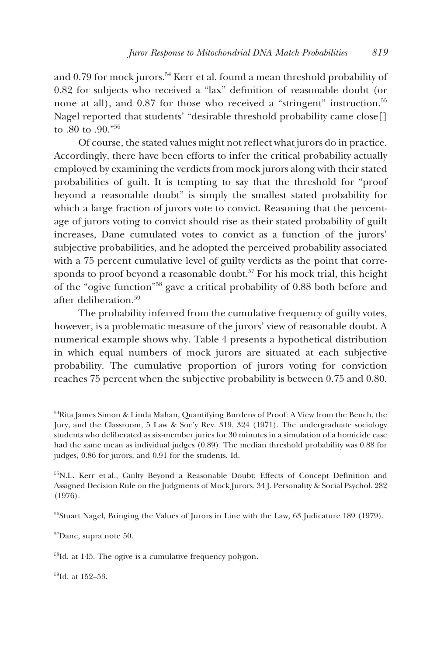and 0.79 for mock jurors.<sup>54</sup> Kerr et al. found a mean threshold probability of 0.82 for subjects who received a "lax" definition of reasonable doubt (or none at all), and 0.87 for those who received a "stringent" instruction.<sup>55</sup> Nagel reported that students' "desirable threshold probability came close[] to .80 to .90."56

Of course, the stated values might not reflect what jurors do in practice. Accordingly, there have been efforts to infer the critical probability actually employed by examining the verdicts from mock jurors along with their stated probabilities of guilt. It is tempting to say that the threshold for "proof beyond a reasonable doubt" is simply the smallest stated probability for which a large fraction of jurors vote to convict. Reasoning that the percentage of jurors voting to convict should rise as their stated probability of guilt increases, Dane cumulated votes to convict as a function of the jurors' subjective probabilities, and he adopted the perceived probability associated with a 75 percent cumulative level of guilty verdicts as the point that corresponds to proof beyond a reasonable doubt.<sup>57</sup> For his mock trial, this height of the "ogive function"58 gave a critical probability of 0.88 both before and after deliberation.59

The probability inferred from the cumulative frequency of guilty votes, however, is a problematic measure of the jurors' view of reasonable doubt. A numerical example shows why. Table 4 presents a hypothetical distribution in which equal numbers of mock jurors are situated at each subjective probability. The cumulative proportion of jurors voting for conviction reaches 75 percent when the subjective probability is between 0.75 and 0.80.

57Dane, supra note 50.

59Id. at 152–53.

<sup>54</sup>Rita James Simon & Linda Mahan, Quantifying Burdens of Proof: A View from the Bench, the Jury, and the Classroom, 5 Law & Soc'y Rev. 319, 324 (1971). The undergraduate sociology students who deliberated as six-member juries for 30 minutes in a simulation of a homicide case had the same mean as individual judges (0.89). The median threshold probability was 0.88 for judges, 0.86 for jurors, and 0.91 for the students. Id.

<sup>&</sup>lt;sup>55</sup>N.L. Kerr et al., Guilty Beyond a Reasonable Doubt: Effects of Concept Definition and Assigned Decision Rule on the Judgments of Mock Jurors, 34 J. Personality & Social Psychol. 282 (1976).

<sup>&</sup>lt;sup>56</sup>Stuart Nagel, Bringing the Values of Jurors in Line with the Law, 63 Judicature 189 (1979).

<sup>58</sup>Id. at 145. The ogive is a cumulative frequency polygon.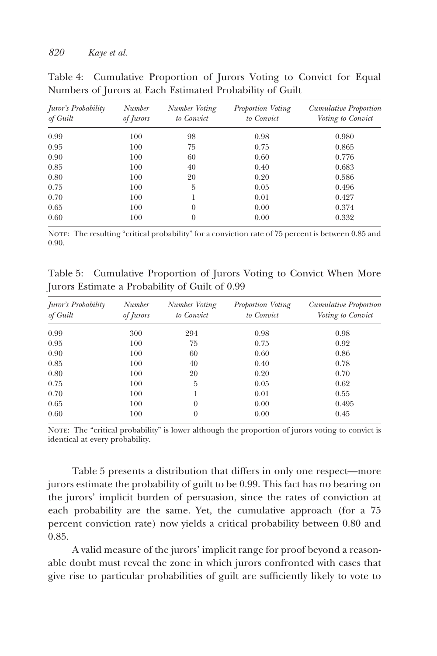| Juror's Probability<br>of Guilt | Number<br>of Jurors | Number Voting<br>to Convict | Proportion Voting<br>to Convict | Cumulative Proportion<br>Voting to Convict |  |
|---------------------------------|---------------------|-----------------------------|---------------------------------|--------------------------------------------|--|
| 0.99                            | 100                 | 98                          | 0.98                            | 0.980                                      |  |
| 0.95                            | 100                 | 75                          | 0.75                            | 0.865                                      |  |
| 0.90                            | 100                 | 60                          | 0.60                            | 0.776                                      |  |
| 0.85                            | 100                 | 40                          | 0.40                            | 0.683                                      |  |
| 0.80                            | 100                 | 20                          | 0.20                            | 0.586                                      |  |
| 0.75                            | 100                 | 5                           | 0.05                            | 0.496                                      |  |
| 0.70                            | 100                 |                             | 0.01                            | 0.427                                      |  |
| 0.65                            | 100                 | $\Omega$                    | 0.00                            | 0.374                                      |  |
| 0.60                            | 100                 | $\theta$                    | 0.00                            | 0.332                                      |  |

Table 4: Cumulative Proportion of Jurors Voting to Convict for Equal Numbers of Jurors at Each Estimated Probability of Guilt

Note: The resulting "critical probability" for a conviction rate of 75 percent is between 0.85 and 0.90.

Table 5: Cumulative Proportion of Jurors Voting to Convict When More Jurors Estimate a Probability of Guilt of 0.99

| Juror's Probability<br>of Guilt | Number<br>of Jurors | Number Voting<br>to Convict | Proportion Voting<br>to Convict | Cumulative Proportion<br>Voting to Convict |  |
|---------------------------------|---------------------|-----------------------------|---------------------------------|--------------------------------------------|--|
| 0.99                            | 300                 | 294                         | 0.98                            | 0.98                                       |  |
| 0.95                            | 100                 | 75                          | 0.75                            | 0.92                                       |  |
| 0.90                            | 100                 | 60                          | 0.60                            | 0.86                                       |  |
| 0.85                            | 100                 | 40                          | 0.40                            | 0.78                                       |  |
| 0.80                            | 100                 | 20                          | 0.20                            | 0.70                                       |  |
| 0.75                            | 100                 | 5                           | 0.05                            | 0.62                                       |  |
| 0.70                            | 100                 |                             | 0.01                            | 0.55                                       |  |
| 0.65                            | 100                 | $\theta$                    | 0.00                            | 0.495                                      |  |
| 0.60                            | 100                 | $\theta$                    | 0.00                            | 0.45                                       |  |

Note: The "critical probability" is lower although the proportion of jurors voting to convict is identical at every probability.

Table 5 presents a distribution that differs in only one respect—more jurors estimate the probability of guilt to be 0.99. This fact has no bearing on the jurors' implicit burden of persuasion, since the rates of conviction at each probability are the same. Yet, the cumulative approach (for a 75 percent conviction rate) now yields a critical probability between 0.80 and 0.85.

A valid measure of the jurors' implicit range for proof beyond a reasonable doubt must reveal the zone in which jurors confronted with cases that give rise to particular probabilities of guilt are sufficiently likely to vote to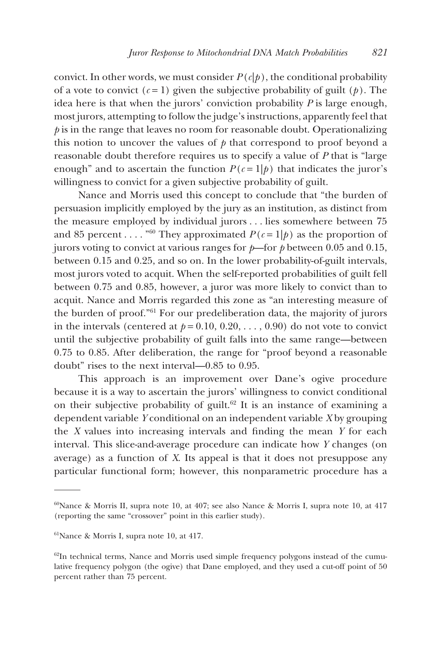convict. In other words, we must consider  $P(c|p)$ , the conditional probability of a vote to convict  $(c=1)$  given the subjective probability of guilt  $(p)$ . The idea here is that when the jurors' conviction probability *P* is large enough, most jurors, attempting to follow the judge's instructions, apparently feel that *p* is in the range that leaves no room for reasonable doubt. Operationalizing this notion to uncover the values of  $\phi$  that correspond to proof beyond a reasonable doubt therefore requires us to specify a value of *P* that is "large enough" and to ascertain the function  $P(c=1|p)$  that indicates the juror's willingness to convict for a given subjective probability of guilt.

Nance and Morris used this concept to conclude that "the burden of persuasion implicitly employed by the jury as an institution, as distinct from the measure employed by individual jurors... lies somewhere between 75 and 85 percent...."<sup>60</sup> They approximated  $P(c=1|p)$  as the proportion of jurors voting to convict at various ranges for *p*—for *p* between 0.05 and 0.15, between 0.15 and 0.25, and so on. In the lower probability-of-guilt intervals, most jurors voted to acquit. When the self-reported probabilities of guilt fell between 0.75 and 0.85, however, a juror was more likely to convict than to acquit. Nance and Morris regarded this zone as "an interesting measure of the burden of proof."61 For our predeliberation data, the majority of jurors in the intervals (centered at  $p = 0.10, 0.20, \ldots, 0.90$ ) do not vote to convict until the subjective probability of guilt falls into the same range—between 0.75 to 0.85. After deliberation, the range for "proof beyond a reasonable doubt" rises to the next interval—0.85 to 0.95.

This approach is an improvement over Dane's ogive procedure because it is a way to ascertain the jurors' willingness to convict conditional on their subjective probability of guilt.<sup>62</sup> It is an instance of examining a dependent variable *Y* conditional on an independent variable *X* by grouping the *X* values into increasing intervals and finding the mean *Y* for each interval. This slice-and-average procedure can indicate how *Y* changes (on average) as a function of *X*. Its appeal is that it does not presuppose any particular functional form; however, this nonparametric procedure has a

 $60$ Nance & Morris II, supra note 10, at 407; see also Nance & Morris I, supra note 10, at 417 (reporting the same "crossover" point in this earlier study).

<sup>61</sup>Nance & Morris I, supra note 10, at 417.

 $62$ In technical terms, Nance and Morris used simple frequency polygons instead of the cumulative frequency polygon (the ogive) that Dane employed, and they used a cut-off point of 50 percent rather than 75 percent.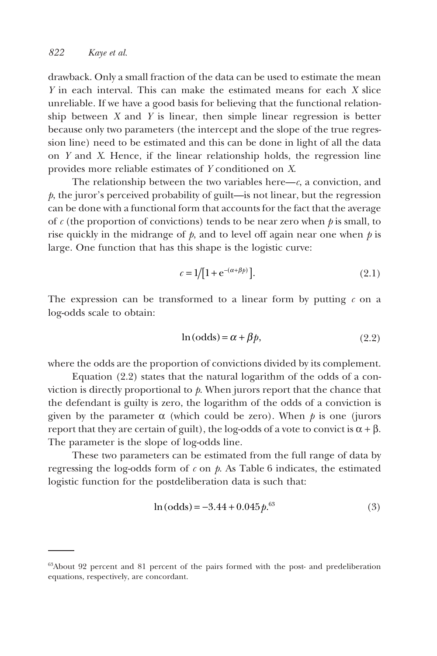drawback. Only a small fraction of the data can be used to estimate the mean *Y* in each interval. This can make the estimated means for each *X* slice unreliable. If we have a good basis for believing that the functional relationship between *X* and *Y* is linear, then simple linear regression is better because only two parameters (the intercept and the slope of the true regression line) need to be estimated and this can be done in light of all the data on *Y* and *X*. Hence, if the linear relationship holds, the regression line provides more reliable estimates of *Y* conditioned on *X*.

The relationship between the two variables here— $c$ , a conviction, and *p*, the juror's perceived probability of guilt—is not linear, but the regression can be done with a functional form that accounts for the fact that the average of  $c$  (the proportion of convictions) tends to be near zero when  $p$  is small, to rise quickly in the midrange of *p*, and to level off again near one when *p* is large. One function that has this shape is the logistic curve:

$$
c = 1/[1 + e^{-(\alpha + \beta p)}].
$$
\n
$$
(2.1)
$$

The expression can be transformed to a linear form by putting *c* on a log-odds scale to obtain:

$$
\ln(\text{odds}) = \alpha + \beta p,\tag{2.2}
$$

where the odds are the proportion of convictions divided by its complement.

Equation (2.2) states that the natural logarithm of the odds of a conviction is directly proportional to *p*. When jurors report that the chance that the defendant is guilty is zero, the logarithm of the odds of a conviction is given by the parameter  $\alpha$  (which could be zero). When  $\beta$  is one (jurors report that they are certain of guilt), the log-odds of a vote to convict is  $\alpha + \beta$ . The parameter is the slope of log-odds line.

These two parameters can be estimated from the full range of data by regressing the log-odds form of  $c$  on  $p$ . As Table 6 indicates, the estimated logistic function for the postdeliberation data is such that:

$$
\ln(\text{odds}) = -3.44 + 0.045p^{.63} \tag{3}
$$

 $63$ About 92 percent and 81 percent of the pairs formed with the post- and predeliberation equations, respectively, are concordant.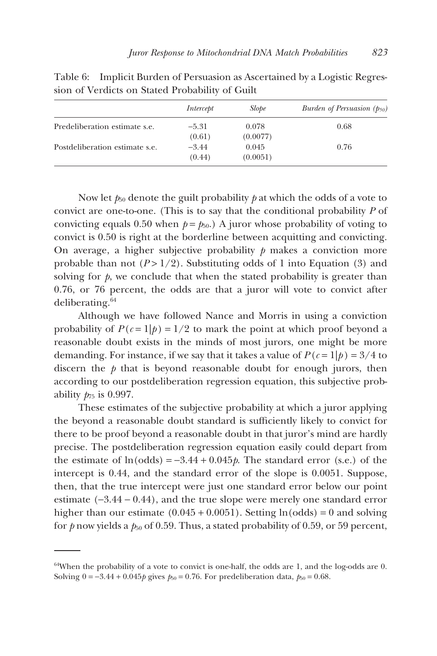|                                | Intercept | <i>Slope</i> | Burden of Persuasion $(p_{50})$ |
|--------------------------------|-----------|--------------|---------------------------------|
| Predeliberation estimate s.e.  | $-5.31$   | 0.078        | 0.68                            |
|                                | (0.61)    | (0.0077)     |                                 |
| Postdeliberation estimate s.e. | $-3.44$   | 0.045        | 0.76                            |
|                                | (0.44)    | (0.0051)     |                                 |

Table 6: Implicit Burden of Persuasion as Ascertained by a Logistic Regression of Verdicts on Stated Probability of Guilt

Now let  $p_{50}$  denote the guilt probability  $p$  at which the odds of a vote to convict are one-to-one. (This is to say that the conditional probability *P* of convicting equals 0.50 when  $p = p_{50}$ .) A juror whose probability of voting to convict is 0.50 is right at the borderline between acquitting and convicting. On average, a higher subjective probability  $p$  makes a conviction more probable than not  $(P > 1/2)$ . Substituting odds of 1 into Equation (3) and solving for *, we conclude that when the stated probability is greater than* 0.76, or 76 percent, the odds are that a juror will vote to convict after deliberating. $64$ 

Although we have followed Nance and Morris in using a conviction probability of  $P(c=1|p) = 1/2$  to mark the point at which proof beyond a reasonable doubt exists in the minds of most jurors, one might be more demanding. For instance, if we say that it takes a value of  $P(c=1|p) = 3/4$  to discern the  $\phi$  that is beyond reasonable doubt for enough jurors, then according to our postdeliberation regression equation, this subjective probability  $p_{75}$  is 0.997.

These estimates of the subjective probability at which a juror applying the beyond a reasonable doubt standard is sufficiently likely to convict for there to be proof beyond a reasonable doubt in that juror's mind are hardly precise. The postdeliberation regression equation easily could depart from the estimate of  $ln(odds) = -3.44 + 0.045p$ . The standard error (s.e.) of the intercept is 0.44, and the standard error of the slope is 0.0051. Suppose, then, that the true intercept were just one standard error below our point estimate  $(-3.44 - 0.44)$ , and the true slope were merely one standard error higher than our estimate  $(0.045 + 0.0051)$ . Setting  $ln(odds) = 0$  and solving for  $p$  now yields a  $p_{50}$  of 0.59. Thus, a stated probability of 0.59, or 59 percent,

 $64$ When the probability of a vote to convict is one-half, the odds are 1, and the log-odds are 0. Solving  $0 = -3.44 + 0.045p$  gives  $p_{50} = 0.76$ . For predeliberation data,  $p_{50} = 0.68$ .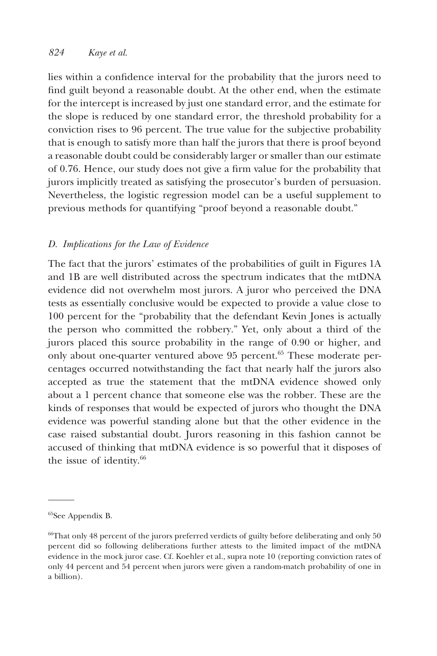lies within a confidence interval for the probability that the jurors need to find guilt beyond a reasonable doubt. At the other end, when the estimate for the intercept is increased by just one standard error, and the estimate for the slope is reduced by one standard error, the threshold probability for a conviction rises to 96 percent. The true value for the subjective probability that is enough to satisfy more than half the jurors that there is proof beyond a reasonable doubt could be considerably larger or smaller than our estimate of 0.76. Hence, our study does not give a firm value for the probability that jurors implicitly treated as satisfying the prosecutor's burden of persuasion. Nevertheless, the logistic regression model can be a useful supplement to previous methods for quantifying "proof beyond a reasonable doubt."

#### *D. Implications for the Law of Evidence*

The fact that the jurors' estimates of the probabilities of guilt in Figures 1A and 1B are well distributed across the spectrum indicates that the mtDNA evidence did not overwhelm most jurors. A juror who perceived the DNA tests as essentially conclusive would be expected to provide a value close to 100 percent for the "probability that the defendant Kevin Jones is actually the person who committed the robbery." Yet, only about a third of the jurors placed this source probability in the range of 0.90 or higher, and only about one-quarter ventured above 95 percent.<sup>65</sup> These moderate percentages occurred notwithstanding the fact that nearly half the jurors also accepted as true the statement that the mtDNA evidence showed only about a 1 percent chance that someone else was the robber. These are the kinds of responses that would be expected of jurors who thought the DNA evidence was powerful standing alone but that the other evidence in the case raised substantial doubt. Jurors reasoning in this fashion cannot be accused of thinking that mtDNA evidence is so powerful that it disposes of the issue of identity.<sup>66</sup>

<sup>65</sup>See Appendix B.

 $66$ That only 48 percent of the jurors preferred verdicts of guilty before deliberating and only  $50$ percent did so following deliberations further attests to the limited impact of the mtDNA evidence in the mock juror case. Cf. Koehler et al., supra note 10 (reporting conviction rates of only 44 percent and 54 percent when jurors were given a random-match probability of one in a billion).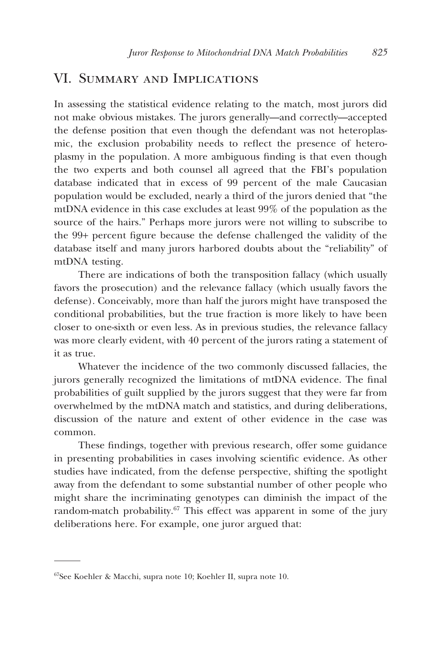### VI. Summary and Implications

In assessing the statistical evidence relating to the match, most jurors did not make obvious mistakes. The jurors generally—and correctly—accepted the defense position that even though the defendant was not heteroplasmic, the exclusion probability needs to reflect the presence of heteroplasmy in the population. A more ambiguous finding is that even though the two experts and both counsel all agreed that the FBI's population database indicated that in excess of 99 percent of the male Caucasian population would be excluded, nearly a third of the jurors denied that "the mtDNA evidence in this case excludes at least 99% of the population as the source of the hairs." Perhaps more jurors were not willing to subscribe to the 99+ percent figure because the defense challenged the validity of the database itself and many jurors harbored doubts about the "reliability" of mtDNA testing.

There are indications of both the transposition fallacy (which usually favors the prosecution) and the relevance fallacy (which usually favors the defense). Conceivably, more than half the jurors might have transposed the conditional probabilities, but the true fraction is more likely to have been closer to one-sixth or even less. As in previous studies, the relevance fallacy was more clearly evident, with 40 percent of the jurors rating a statement of it as true.

Whatever the incidence of the two commonly discussed fallacies, the jurors generally recognized the limitations of mtDNA evidence. The final probabilities of guilt supplied by the jurors suggest that they were far from overwhelmed by the mtDNA match and statistics, and during deliberations, discussion of the nature and extent of other evidence in the case was common.

These findings, together with previous research, offer some guidance in presenting probabilities in cases involving scientific evidence. As other studies have indicated, from the defense perspective, shifting the spotlight away from the defendant to some substantial number of other people who might share the incriminating genotypes can diminish the impact of the random-match probability. $67$  This effect was apparent in some of the jury deliberations here. For example, one juror argued that:

<sup>67</sup>See Koehler & Macchi, supra note 10; Koehler II, supra note 10.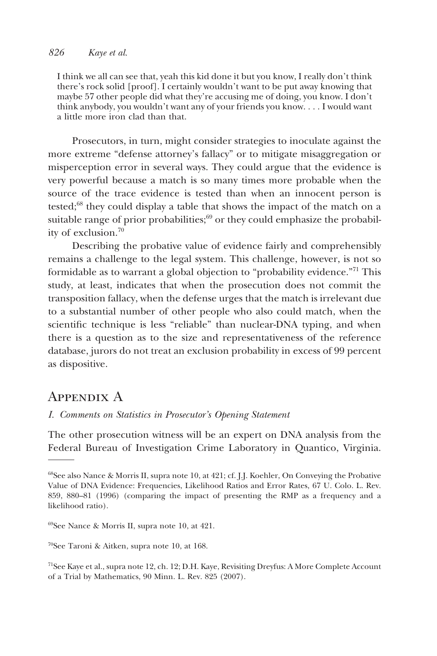#### *826 Kaye et al.*

I think we all can see that, yeah this kid done it but you know, I really don't think there's rock solid [proof]. I certainly wouldn't want to be put away knowing that maybe 57 other people did what they're accusing me of doing, you know. I don't think anybody, you wouldn't want any of your friends you know....I would want a little more iron clad than that.

Prosecutors, in turn, might consider strategies to inoculate against the more extreme "defense attorney's fallacy" or to mitigate misaggregation or misperception error in several ways. They could argue that the evidence is very powerful because a match is so many times more probable when the source of the trace evidence is tested than when an innocent person is tested;68 they could display a table that shows the impact of the match on a suitable range of prior probabilities; $69$  or they could emphasize the probability of exclusion.<sup>70</sup>

Describing the probative value of evidence fairly and comprehensibly remains a challenge to the legal system. This challenge, however, is not so formidable as to warrant a global objection to "probability evidence."71 This study, at least, indicates that when the prosecution does not commit the transposition fallacy, when the defense urges that the match is irrelevant due to a substantial number of other people who also could match, when the scientific technique is less "reliable" than nuclear-DNA typing, and when there is a question as to the size and representativeness of the reference database, jurors do not treat an exclusion probability in excess of 99 percent as dispositive.

## Appendix A

#### *I. Comments on Statistics in Prosecutor's Opening Statement*

The other prosecution witness will be an expert on DNA analysis from the Federal Bureau of Investigation Crime Laboratory in Quantico, Virginia.

<sup>&</sup>lt;sup>68</sup>See also Nance & Morris II, supra note 10, at 421; cf. J.J. Koehler, On Conveying the Probative Value of DNA Evidence: Frequencies, Likelihood Ratios and Error Rates, 67 U. Colo. L. Rev. 859, 880–81 (1996) (comparing the impact of presenting the RMP as a frequency and a likelihood ratio).

<sup>69</sup>See Nance & Morris II, supra note 10, at 421.

<sup>70</sup>See Taroni & Aitken, supra note 10, at 168.

<sup>&</sup>lt;sup>71</sup>See Kaye et al., supra note 12, ch. 12; D.H. Kaye, Revisiting Dreyfus: A More Complete Account of a Trial by Mathematics, 90 Minn. L. Rev. 825 (2007).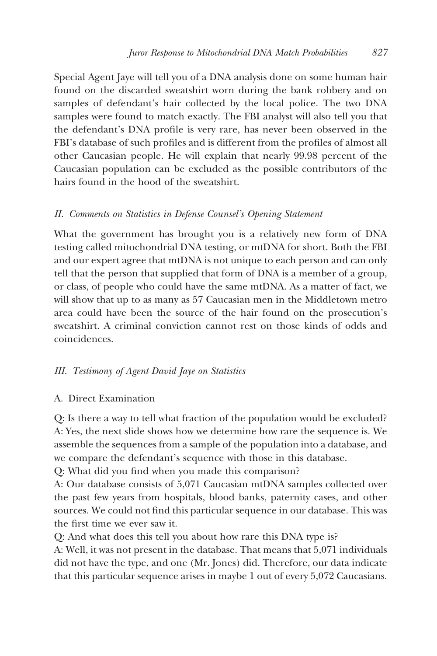Special Agent Jaye will tell you of a DNA analysis done on some human hair found on the discarded sweatshirt worn during the bank robbery and on samples of defendant's hair collected by the local police. The two DNA samples were found to match exactly. The FBI analyst will also tell you that the defendant's DNA profile is very rare, has never been observed in the FBI's database of such profiles and is different from the profiles of almost all other Caucasian people. He will explain that nearly 99.98 percent of the Caucasian population can be excluded as the possible contributors of the hairs found in the hood of the sweatshirt.

#### *II. Comments on Statistics in Defense Counsel's Opening Statement*

What the government has brought you is a relatively new form of DNA testing called mitochondrial DNA testing, or mtDNA for short. Both the FBI and our expert agree that mtDNA is not unique to each person and can only tell that the person that supplied that form of DNA is a member of a group, or class, of people who could have the same mtDNA. As a matter of fact, we will show that up to as many as 57 Caucasian men in the Middletown metro area could have been the source of the hair found on the prosecution's sweatshirt. A criminal conviction cannot rest on those kinds of odds and coincidences.

#### *III. Testimony of Agent David Jaye on Statistics*

#### A. Direct Examination

Q: Is there a way to tell what fraction of the population would be excluded? A: Yes, the next slide shows how we determine how rare the sequence is. We assemble the sequences from a sample of the population into a database, and we compare the defendant's sequence with those in this database.

Q: What did you find when you made this comparison?

A: Our database consists of 5,071 Caucasian mtDNA samples collected over the past few years from hospitals, blood banks, paternity cases, and other sources. We could not find this particular sequence in our database. This was the first time we ever saw it.

Q: And what does this tell you about how rare this DNA type is?

A: Well, it was not present in the database. That means that 5,071 individuals did not have the type, and one (Mr. Jones) did. Therefore, our data indicate that this particular sequence arises in maybe 1 out of every 5,072 Caucasians.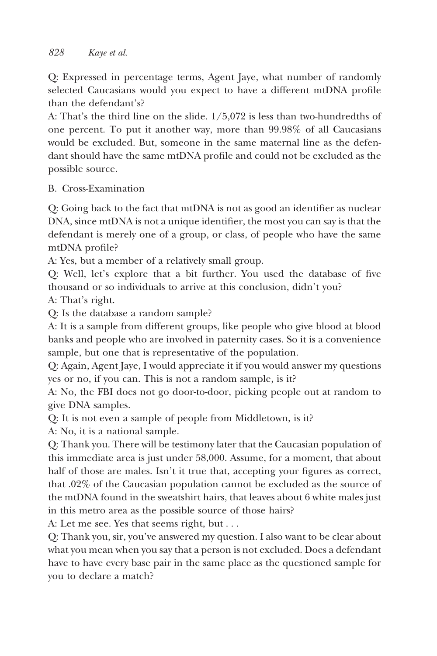Q: Expressed in percentage terms, Agent Jaye, what number of randomly selected Caucasians would you expect to have a different mtDNA profile than the defendant's?

A: That's the third line on the slide. 1/5,072 is less than two-hundredths of one percent. To put it another way, more than 99.98% of all Caucasians would be excluded. But, someone in the same maternal line as the defendant should have the same mtDNA profile and could not be excluded as the possible source.

B. Cross-Examination

Q: Going back to the fact that mtDNA is not as good an identifier as nuclear DNA, since mtDNA is not a unique identifier, the most you can say is that the defendant is merely one of a group, or class, of people who have the same mtDNA profile?

A: Yes, but a member of a relatively small group.

Q: Well, let's explore that a bit further. You used the database of five thousand or so individuals to arrive at this conclusion, didn't you?

A: That's right.

Q: Is the database a random sample?

A: It is a sample from different groups, like people who give blood at blood banks and people who are involved in paternity cases. So it is a convenience sample, but one that is representative of the population.

Q: Again, Agent Jaye, I would appreciate it if you would answer my questions yes or no, if you can. This is not a random sample, is it?

A: No, the FBI does not go door-to-door, picking people out at random to give DNA samples.

Q: It is not even a sample of people from Middletown, is it?

A: No, it is a national sample.

Q: Thank you. There will be testimony later that the Caucasian population of this immediate area is just under 58,000. Assume, for a moment, that about half of those are males. Isn't it true that, accepting your figures as correct, that .02% of the Caucasian population cannot be excluded as the source of the mtDNA found in the sweatshirt hairs, that leaves about 6 white males just in this metro area as the possible source of those hairs?

A: Let me see. Yes that seems right, but...

Q: Thank you, sir, you've answered my question. I also want to be clear about what you mean when you say that a person is not excluded. Does a defendant have to have every base pair in the same place as the questioned sample for you to declare a match?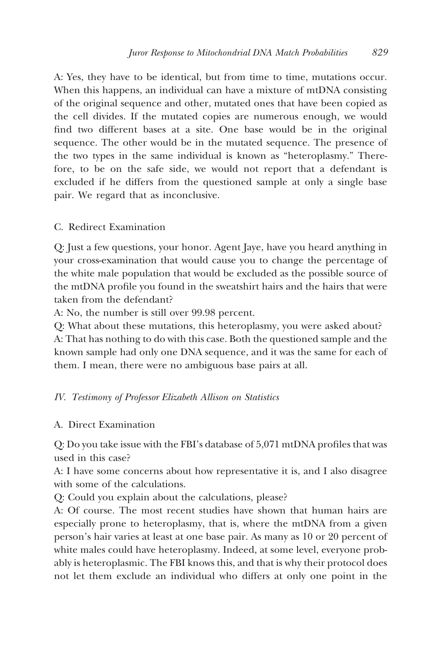A: Yes, they have to be identical, but from time to time, mutations occur. When this happens, an individual can have a mixture of mtDNA consisting of the original sequence and other, mutated ones that have been copied as the cell divides. If the mutated copies are numerous enough, we would find two different bases at a site. One base would be in the original sequence. The other would be in the mutated sequence. The presence of the two types in the same individual is known as "heteroplasmy." Therefore, to be on the safe side, we would not report that a defendant is excluded if he differs from the questioned sample at only a single base pair. We regard that as inconclusive.

#### C. Redirect Examination

Q: Just a few questions, your honor. Agent Jaye, have you heard anything in your cross-examination that would cause you to change the percentage of the white male population that would be excluded as the possible source of the mtDNA profile you found in the sweatshirt hairs and the hairs that were taken from the defendant?

A: No, the number is still over 99.98 percent.

Q: What about these mutations, this heteroplasmy, you were asked about? A: That has nothing to do with this case. Both the questioned sample and the known sample had only one DNA sequence, and it was the same for each of them. I mean, there were no ambiguous base pairs at all.

#### *IV. Testimony of Professor Elizabeth Allison on Statistics*

#### A. Direct Examination

Q: Do you take issue with the FBI's database of 5,071 mtDNA profiles that was used in this case?

A: I have some concerns about how representative it is, and I also disagree with some of the calculations.

Q: Could you explain about the calculations, please?

A: Of course. The most recent studies have shown that human hairs are especially prone to heteroplasmy, that is, where the mtDNA from a given person's hair varies at least at one base pair. As many as 10 or 20 percent of white males could have heteroplasmy. Indeed, at some level, everyone probably is heteroplasmic. The FBI knows this, and that is why their protocol does not let them exclude an individual who differs at only one point in the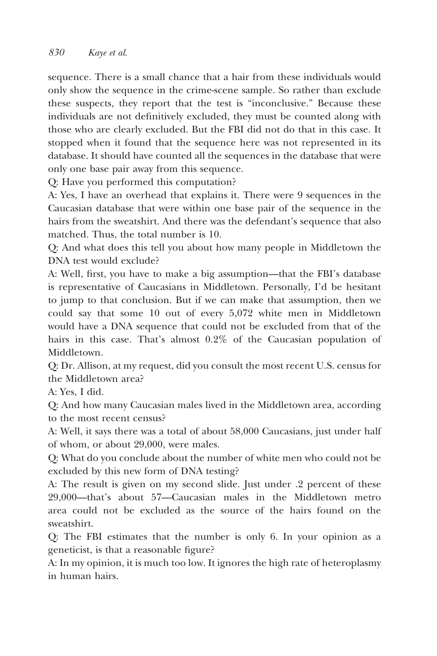sequence. There is a small chance that a hair from these individuals would only show the sequence in the crime-scene sample. So rather than exclude these suspects, they report that the test is "inconclusive." Because these individuals are not definitively excluded, they must be counted along with those who are clearly excluded. But the FBI did not do that in this case. It stopped when it found that the sequence here was not represented in its database. It should have counted all the sequences in the database that were only one base pair away from this sequence.

Q: Have you performed this computation?

A: Yes, I have an overhead that explains it. There were 9 sequences in the Caucasian database that were within one base pair of the sequence in the hairs from the sweatshirt. And there was the defendant's sequence that also matched. Thus, the total number is 10.

Q: And what does this tell you about how many people in Middletown the DNA test would exclude?

A: Well, first, you have to make a big assumption—that the FBI's database is representative of Caucasians in Middletown. Personally, I'd be hesitant to jump to that conclusion. But if we can make that assumption, then we could say that some 10 out of every 5,072 white men in Middletown would have a DNA sequence that could not be excluded from that of the hairs in this case. That's almost 0.2% of the Caucasian population of Middletown.

Q: Dr. Allison, at my request, did you consult the most recent U.S. census for the Middletown area?

A: Yes, I did.

Q: And how many Caucasian males lived in the Middletown area, according to the most recent census?

A: Well, it says there was a total of about 58,000 Caucasians, just under half of whom, or about 29,000, were males.

Q: What do you conclude about the number of white men who could not be excluded by this new form of DNA testing?

A: The result is given on my second slide. Just under .2 percent of these 29,000—that's about 57—Caucasian males in the Middletown metro area could not be excluded as the source of the hairs found on the sweatshirt.

Q: The FBI estimates that the number is only 6. In your opinion as a geneticist, is that a reasonable figure?

A: In my opinion, it is much too low. It ignores the high rate of heteroplasmy in human hairs.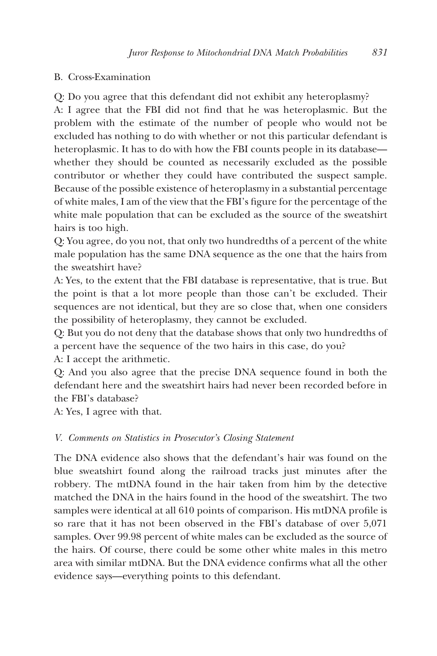#### B. Cross-Examination

Q: Do you agree that this defendant did not exhibit any heteroplasmy? A: I agree that the FBI did not find that he was heteroplasmic. But the problem with the estimate of the number of people who would not be excluded has nothing to do with whether or not this particular defendant is heteroplasmic. It has to do with how the FBI counts people in its database whether they should be counted as necessarily excluded as the possible contributor or whether they could have contributed the suspect sample. Because of the possible existence of heteroplasmy in a substantial percentage of white males, I am of the view that the FBI's figure for the percentage of the white male population that can be excluded as the source of the sweatshirt hairs is too high.

Q: You agree, do you not, that only two hundredths of a percent of the white male population has the same DNA sequence as the one that the hairs from the sweatshirt have?

A: Yes, to the extent that the FBI database is representative, that is true. But the point is that a lot more people than those can't be excluded. Their sequences are not identical, but they are so close that, when one considers the possibility of heteroplasmy, they cannot be excluded.

Q: But you do not deny that the database shows that only two hundredths of a percent have the sequence of the two hairs in this case, do you?

A: I accept the arithmetic.

Q: And you also agree that the precise DNA sequence found in both the defendant here and the sweatshirt hairs had never been recorded before in the FBI's database?

A: Yes, I agree with that.

#### *V. Comments on Statistics in Prosecutor's Closing Statement*

The DNA evidence also shows that the defendant's hair was found on the blue sweatshirt found along the railroad tracks just minutes after the robbery. The mtDNA found in the hair taken from him by the detective matched the DNA in the hairs found in the hood of the sweatshirt. The two samples were identical at all 610 points of comparison. His mtDNA profile is so rare that it has not been observed in the FBI's database of over 5,071 samples. Over 99.98 percent of white males can be excluded as the source of the hairs. Of course, there could be some other white males in this metro area with similar mtDNA. But the DNA evidence confirms what all the other evidence says—everything points to this defendant.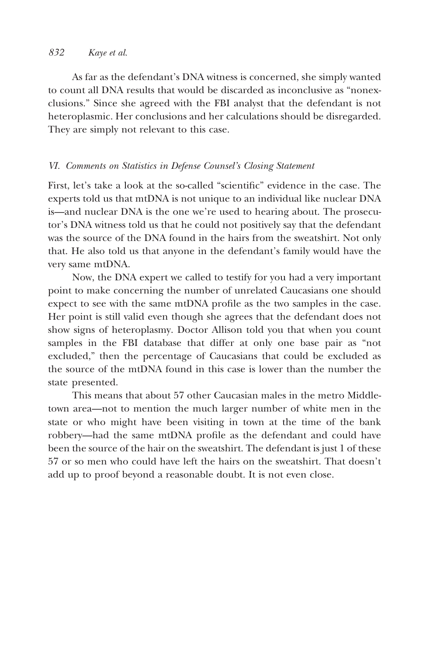#### *832 Kaye et al.*

As far as the defendant's DNA witness is concerned, she simply wanted to count all DNA results that would be discarded as inconclusive as "nonexclusions." Since she agreed with the FBI analyst that the defendant is not heteroplasmic. Her conclusions and her calculations should be disregarded. They are simply not relevant to this case.

#### *VI. Comments on Statistics in Defense Counsel's Closing Statement*

First, let's take a look at the so-called "scientific" evidence in the case. The experts told us that mtDNA is not unique to an individual like nuclear DNA is—and nuclear DNA is the one we're used to hearing about. The prosecutor's DNA witness told us that he could not positively say that the defendant was the source of the DNA found in the hairs from the sweatshirt. Not only that. He also told us that anyone in the defendant's family would have the very same mtDNA.

Now, the DNA expert we called to testify for you had a very important point to make concerning the number of unrelated Caucasians one should expect to see with the same mtDNA profile as the two samples in the case. Her point is still valid even though she agrees that the defendant does not show signs of heteroplasmy. Doctor Allison told you that when you count samples in the FBI database that differ at only one base pair as "not excluded," then the percentage of Caucasians that could be excluded as the source of the mtDNA found in this case is lower than the number the state presented.

This means that about 57 other Caucasian males in the metro Middletown area—not to mention the much larger number of white men in the state or who might have been visiting in town at the time of the bank robbery—had the same mtDNA profile as the defendant and could have been the source of the hair on the sweatshirt. The defendant is just 1 of these 57 or so men who could have left the hairs on the sweatshirt. That doesn't add up to proof beyond a reasonable doubt. It is not even close.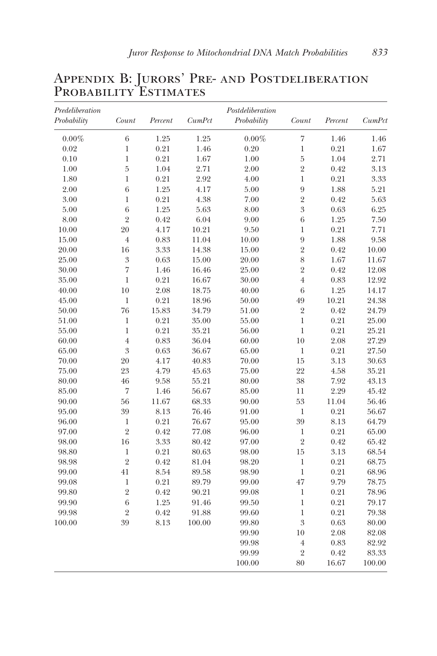| Predeliberation<br>Probability | Count          | Percent | CumPct | Postdeliberation<br>Probability | Count          | Percent | CumPct |
|--------------------------------|----------------|---------|--------|---------------------------------|----------------|---------|--------|
| $0.00\%$                       | $\overline{6}$ | 1.25    | 1.25   | $0.00\%$                        | $\overline{7}$ | 1.46    | 1.46   |
| 0.02                           | $\mathbf 1$    | 0.21    | 1.46   | 0.20                            | $\,1$          | 0.21    | 1.67   |
| 0.10                           | $\,1$          | 0.21    | 1.67   | 1.00                            | $\overline{5}$ | 1.04    | 2.71   |
| 1.00                           | $\overline{5}$ | 1.04    | 2.71   | 2.00                            | $\overline{2}$ | 0.42    | 3.13   |
| 1.80                           | $\mathbf 1$    | 0.21    | 2.92   | 4.00                            | $\,1$          | 0.21    | 3.33   |
| 2.00                           | 6              | 1.25    | 4.17   | 5.00                            | $\overline{9}$ | 1.88    | 5.21   |
| 3.00                           | $\mathbf 1$    | 0.21    | 4.38   | 7.00                            | $\overline{2}$ | 0.42    | 5.63   |
| 5.00                           | 6              | 1.25    | 5.63   | 8.00                            | $\overline{3}$ | 0.63    | 6.25   |
| 8.00                           | $\overline{2}$ | 0.42    | 6.04   | 9.00                            | $\,6\,$        | 1.25    | 7.50   |
| 10.00                          | 20             | 4.17    | 10.21  | 9.50                            | $\,1$          | 0.21    | 7.71   |
| 15.00                          | $\overline{4}$ | 0.83    | 11.04  | 10.00                           | $\overline{9}$ | 1.88    | 9.58   |
| 20.00                          | 16             | 3.33    | 14.38  | 15.00                           | $\overline{2}$ | 0.42    | 10.00  |
| 25.00                          | 3              | 0.63    | 15.00  | 20.00                           | 8              | 1.67    | 11.67  |
| 30.00                          | $\overline{7}$ | 1.46    | 16.46  | 25.00                           | $\overline{2}$ | 0.42    | 12.08  |
| 35.00                          | $\bf{l}$       | 0.21    | 16.67  | 30.00                           | $\overline{4}$ | 0.83    | 12.92  |
| 40.00                          | 10             | 2.08    | 18.75  | 40.00                           | 6              | 1.25    | 14.17  |
| 45.00                          | $\mathbf 1$    | 0.21    | 18.96  | 50.00                           | 49             | 10.21   | 24.38  |
| 50.00                          | 76             | 15.83   | 34.79  | 51.00                           | $\overline{2}$ | 0.42    | 24.79  |
| 51.00                          | $\mathbf 1$    | 0.21    | 35.00  | 55.00                           | $\mathbf{1}$   | 0.21    | 25.00  |
| 55.00                          | $\mathbf 1$    | 0.21    | 35.21  | 56.00                           | $\mathbf 1$    | 0.21    | 25.21  |
| 60.00                          | $\overline{4}$ | 0.83    | 36.04  | 60.00                           | 10             | 2.08    | 27.29  |
| 65.00                          | 3              | 0.63    | 36.67  | 65.00                           | $\mathbf 1$    | 0.21    | 27.50  |
| 70.00                          | 20             | 4.17    | 40.83  | 70.00                           | 15             | 3.13    | 30.63  |
| 75.00                          | 23             | 4.79    | 45.63  | 75.00                           | 22             | 4.58    | 35.21  |
| 80.00                          | 46             | 9.58    | 55.21  | 80.00                           | 38             | 7.92    | 43.13  |
| 85.00                          | $\overline{7}$ | 1.46    | 56.67  | 85.00                           | 11             | 2.29    | 45.42  |
| 90.00                          | 56             | 11.67   | 68.33  | 90.00                           | $53\,$         | 11.04   | 56.46  |
| 95.00                          | 39             | 8.13    | 76.46  | 91.00                           | $\mathbf 1$    | 0.21    | 56.67  |
| 96.00                          | $\mathbf 1$    | 0.21    | 76.67  | 95.00                           | 39             | 8.13    | 64.79  |
| 97.00                          | $\overline{2}$ | 0.42    | 77.08  | 96.00                           | 1              | 0.21    | 65.00  |
| 98.00                          | 16             | 3.33    | 80.42  | 97.00                           | $\overline{2}$ | 0.42    | 65.42  |
| 98.80                          | 1              | 0.21    | 80.63  | 98.00                           | 15             | 3.13    | 68.54  |
| 98.98                          | $\overline{2}$ | 0.42    | 81.04  | 98.20                           | $\mathbf 1$    | 0.21    | 68.75  |
| 99.00                          | 41             | 8.54    | 89.58  | 98.90                           | $\mathbf 1$    | 0.21    | 68.96  |
| 99.08                          | $\mathbf 1$    | 0.21    | 89.79  | 99.00                           | 47             | 9.79    | 78.75  |
| 99.80                          | $\overline{2}$ | 0.42    | 90.21  | 99.08                           | $\,1$          | 0.21    | 78.96  |
| 99.90                          | 6              | 1.25    | 91.46  | 99.50                           | $\mathbf{1}$   | 0.21    | 79.17  |
| 99.98                          | $\overline{2}$ | 0.42    | 91.88  | 99.60                           | $\mathbf{1}$   | 0.21    | 79.38  |
| 100.00                         | 39             | 8.13    | 100.00 | 99.80                           | $\overline{3}$ | 0.63    | 80.00  |
|                                |                |         |        | 99.90                           | 10             | 2.08    | 82.08  |
|                                |                |         |        | 99.98                           | $\overline{4}$ | 0.83    | 82.92  |
|                                |                |         |        | 99.99                           | $\overline{2}$ | 0.42    | 83.33  |
|                                |                |         |        | 100.00                          | 80             | 16.67   | 100.00 |

## Appendix B: Jurors' Pre- and Postdeliberation Probability Estimates